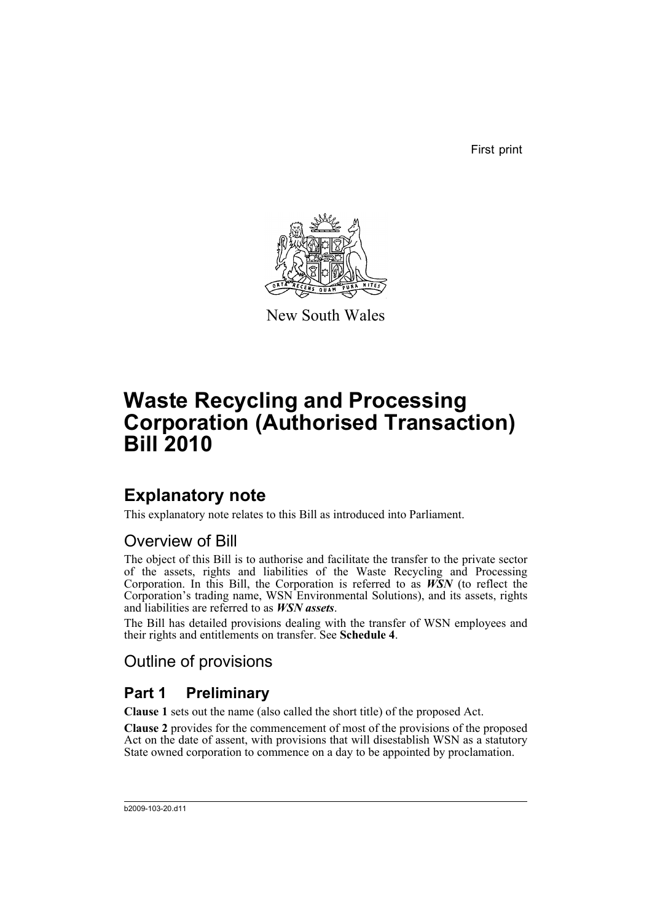First print



New South Wales

# **Waste Recycling and Processing Corporation (Authorised Transaction) Bill 2010**

# **Explanatory note**

This explanatory note relates to this Bill as introduced into Parliament.

## Overview of Bill

The object of this Bill is to authorise and facilitate the transfer to the private sector of the assets, rights and liabilities of the Waste Recycling and Processing Corporation. In this Bill, the Corporation is referred to as *WSN* (to reflect the Corporation's trading name, WSN Environmental Solutions), and its assets, rights and liabilities are referred to as *WSN assets*.

The Bill has detailed provisions dealing with the transfer of WSN employees and their rights and entitlements on transfer. See **Schedule 4**.

## Outline of provisions

## **Part 1 Preliminary**

**Clause 1** sets out the name (also called the short title) of the proposed Act.

**Clause 2** provides for the commencement of most of the provisions of the proposed Act on the date of assent, with provisions that will disestablish WSN as a statutory State owned corporation to commence on a day to be appointed by proclamation.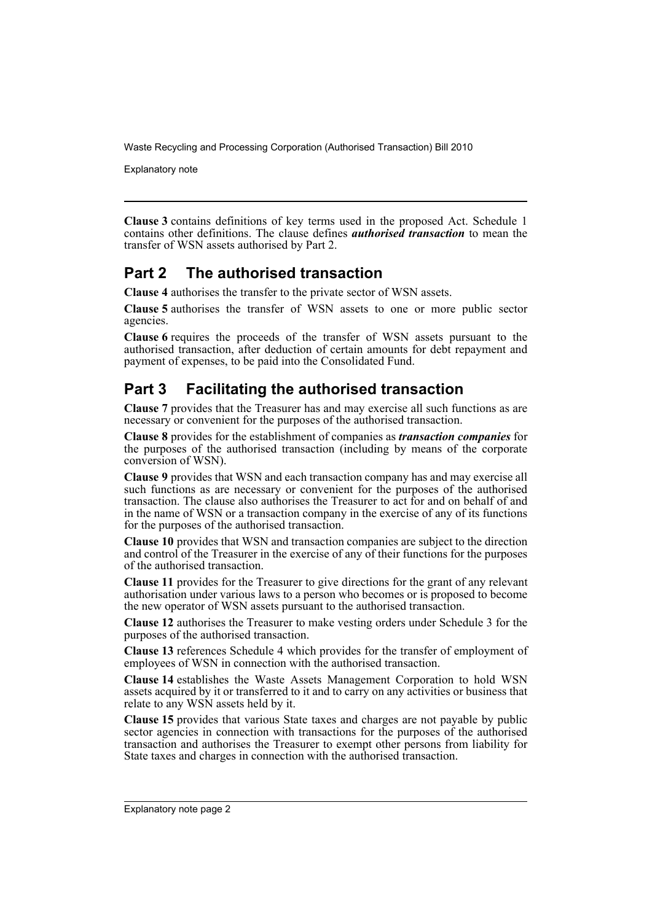Explanatory note

**Clause 3** contains definitions of key terms used in the proposed Act. Schedule 1 contains other definitions. The clause defines *authorised transaction* to mean the transfer of WSN assets authorised by Part 2.

## **Part 2 The authorised transaction**

**Clause 4** authorises the transfer to the private sector of WSN assets.

**Clause 5** authorises the transfer of WSN assets to one or more public sector agencies.

**Clause 6** requires the proceeds of the transfer of WSN assets pursuant to the authorised transaction, after deduction of certain amounts for debt repayment and payment of expenses, to be paid into the Consolidated Fund.

## **Part 3 Facilitating the authorised transaction**

**Clause 7** provides that the Treasurer has and may exercise all such functions as are necessary or convenient for the purposes of the authorised transaction.

**Clause 8** provides for the establishment of companies as *transaction companies* for the purposes of the authorised transaction (including by means of the corporate conversion of WSN).

**Clause 9** provides that WSN and each transaction company has and may exercise all such functions as are necessary or convenient for the purposes of the authorised transaction. The clause also authorises the Treasurer to act for and on behalf of and in the name of WSN or a transaction company in the exercise of any of its functions for the purposes of the authorised transaction.

**Clause 10** provides that WSN and transaction companies are subject to the direction and control of the Treasurer in the exercise of any of their functions for the purposes of the authorised transaction.

**Clause 11** provides for the Treasurer to give directions for the grant of any relevant authorisation under various laws to a person who becomes or is proposed to become the new operator of WSN assets pursuant to the authorised transaction.

**Clause 12** authorises the Treasurer to make vesting orders under Schedule 3 for the purposes of the authorised transaction.

**Clause 13** references Schedule 4 which provides for the transfer of employment of employees of WSN in connection with the authorised transaction.

**Clause 14** establishes the Waste Assets Management Corporation to hold WSN assets acquired by it or transferred to it and to carry on any activities or business that relate to any WSN assets held by it.

**Clause 15** provides that various State taxes and charges are not payable by public sector agencies in connection with transactions for the purposes of the authorised transaction and authorises the Treasurer to exempt other persons from liability for State taxes and charges in connection with the authorised transaction.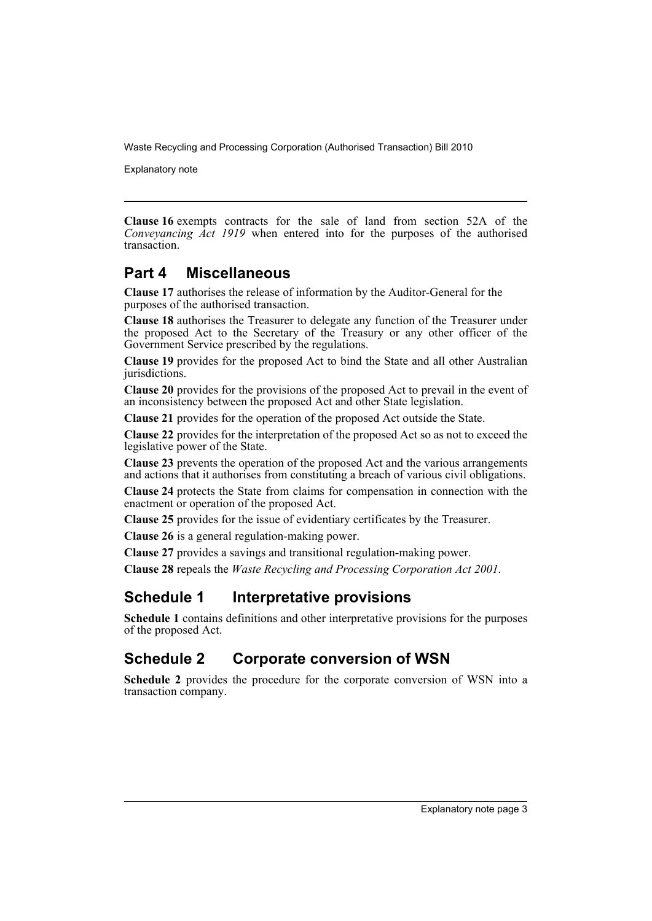Explanatory note

**Clause 16** exempts contracts for the sale of land from section 52A of the *Conveyancing Act 1919* when entered into for the purposes of the authorised transaction.

## **Part 4 Miscellaneous**

**Clause 17** authorises the release of information by the Auditor-General for the purposes of the authorised transaction.

**Clause 18** authorises the Treasurer to delegate any function of the Treasurer under the proposed Act to the Secretary of the Treasury or any other officer of the Government Service prescribed by the regulations.

**Clause 19** provides for the proposed Act to bind the State and all other Australian jurisdictions.

**Clause 20** provides for the provisions of the proposed Act to prevail in the event of an inconsistency between the proposed Act and other State legislation.

**Clause 21** provides for the operation of the proposed Act outside the State.

**Clause 22** provides for the interpretation of the proposed Act so as not to exceed the legislative power of the State.

**Clause 23** prevents the operation of the proposed Act and the various arrangements and actions that it authorises from constituting a breach of various civil obligations.

**Clause 24** protects the State from claims for compensation in connection with the enactment or operation of the proposed Act.

**Clause 25** provides for the issue of evidentiary certificates by the Treasurer.

**Clause 26** is a general regulation-making power.

**Clause 27** provides a savings and transitional regulation-making power.

**Clause 28** repeals the *Waste Recycling and Processing Corporation Act 2001*.

## **Schedule 1 Interpretative provisions**

**Schedule 1** contains definitions and other interpretative provisions for the purposes of the proposed Act.

## **Schedule 2 Corporate conversion of WSN**

**Schedule 2** provides the procedure for the corporate conversion of WSN into a transaction company.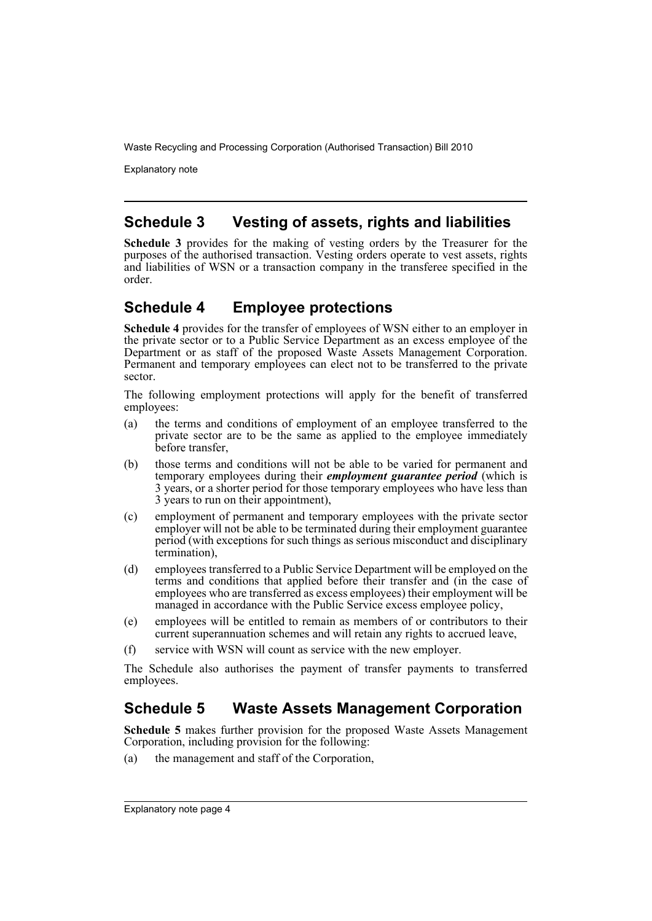Explanatory note

## **Schedule 3 Vesting of assets, rights and liabilities**

**Schedule 3** provides for the making of vesting orders by the Treasurer for the purposes of the authorised transaction. Vesting orders operate to vest assets, rights and liabilities of WSN or a transaction company in the transferee specified in the order.

## **Schedule 4 Employee protections**

**Schedule 4** provides for the transfer of employees of WSN either to an employer in the private sector or to a Public Service Department as an excess employee of the Department or as staff of the proposed Waste Assets Management Corporation. Permanent and temporary employees can elect not to be transferred to the private sector.

The following employment protections will apply for the benefit of transferred employees:

- (a) the terms and conditions of employment of an employee transferred to the private sector are to be the same as applied to the employee immediately before transfer,
- (b) those terms and conditions will not be able to be varied for permanent and temporary employees during their *employment guarantee period* (which is 3 years, or a shorter period for those temporary employees who have less than 3 years to run on their appointment),
- (c) employment of permanent and temporary employees with the private sector employer will not be able to be terminated during their employment guarantee period (with exceptions for such things as serious misconduct and disciplinary termination),
- (d) employees transferred to a Public Service Department will be employed on the terms and conditions that applied before their transfer and (in the case of employees who are transferred as excess employees) their employment will be managed in accordance with the Public Service excess employee policy,
- (e) employees will be entitled to remain as members of or contributors to their current superannuation schemes and will retain any rights to accrued leave,
- (f) service with WSN will count as service with the new employer.

The Schedule also authorises the payment of transfer payments to transferred employees.

## **Schedule 5 Waste Assets Management Corporation**

**Schedule 5** makes further provision for the proposed Waste Assets Management Corporation, including provision for the following:

(a) the management and staff of the Corporation,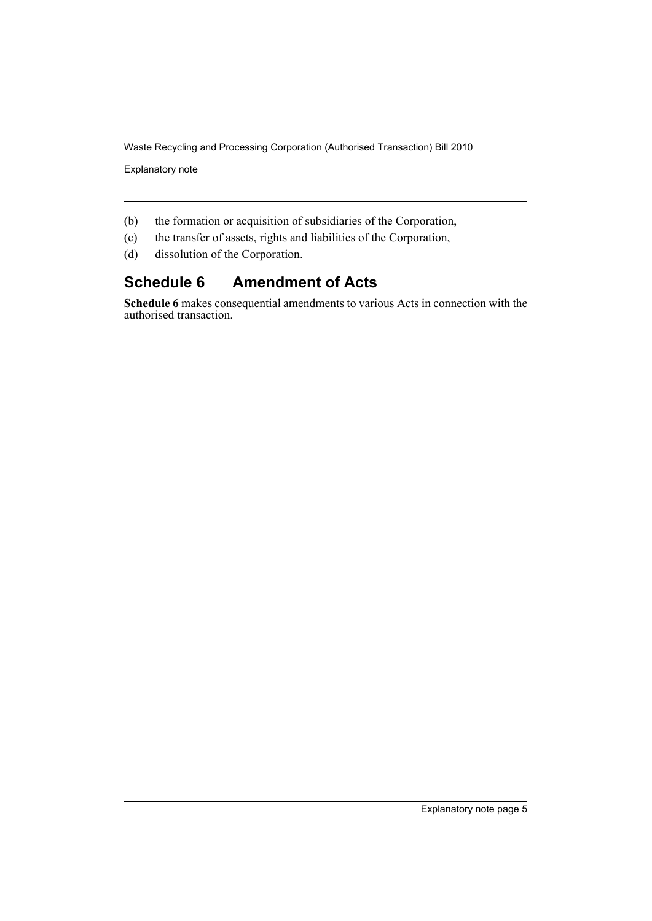Explanatory note

- (b) the formation or acquisition of subsidiaries of the Corporation,
- (c) the transfer of assets, rights and liabilities of the Corporation,
- (d) dissolution of the Corporation.

## **Schedule 6 Amendment of Acts**

**Schedule 6** makes consequential amendments to various Acts in connection with the authorised transaction.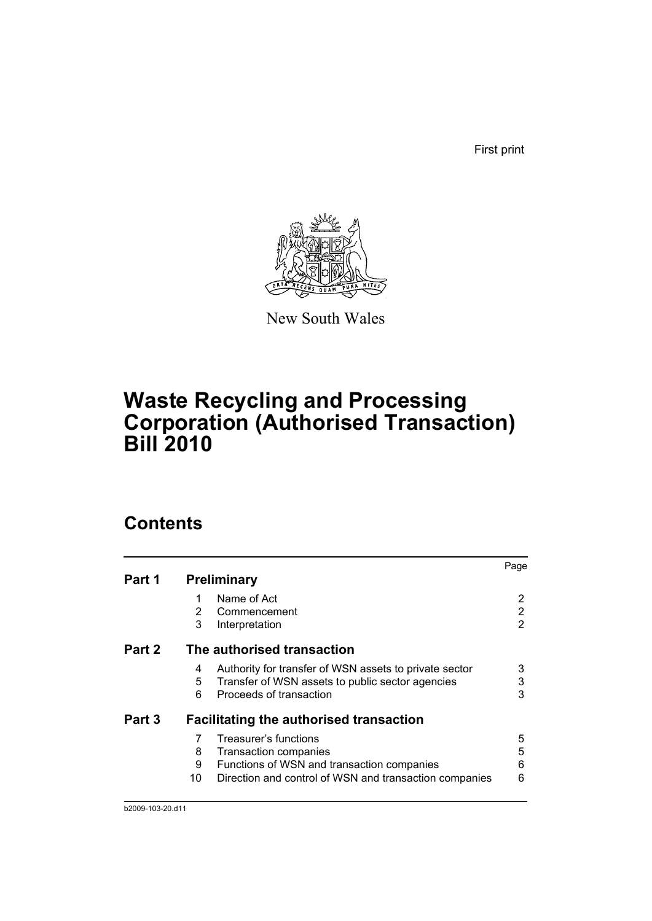First print



New South Wales

# **Waste Recycling and Processing Corporation (Authorised Transaction) Bill 2010**

# **Contents**

|        |                                                              | Page |
|--------|--------------------------------------------------------------|------|
| Part 1 | <b>Preliminary</b>                                           |      |
|        | Name of Act                                                  | 2    |
|        | 2<br>Commencement                                            | 2    |
|        | 3<br>Interpretation                                          | 2    |
| Part 2 | The authorised transaction                                   |      |
|        | Authority for transfer of WSN assets to private sector<br>4  | 3    |
|        | 5<br>Transfer of WSN assets to public sector agencies        | 3    |
|        | 6<br>Proceeds of transaction                                 | 3    |
| Part 3 | <b>Facilitating the authorised transaction</b>               |      |
|        | Treasurer's functions<br>7                                   | 5    |
|        | 8<br>Transaction companies                                   | 5    |
|        | 9<br>Functions of WSN and transaction companies              | 6    |
|        | 10<br>Direction and control of WSN and transaction companies | 6    |
|        |                                                              |      |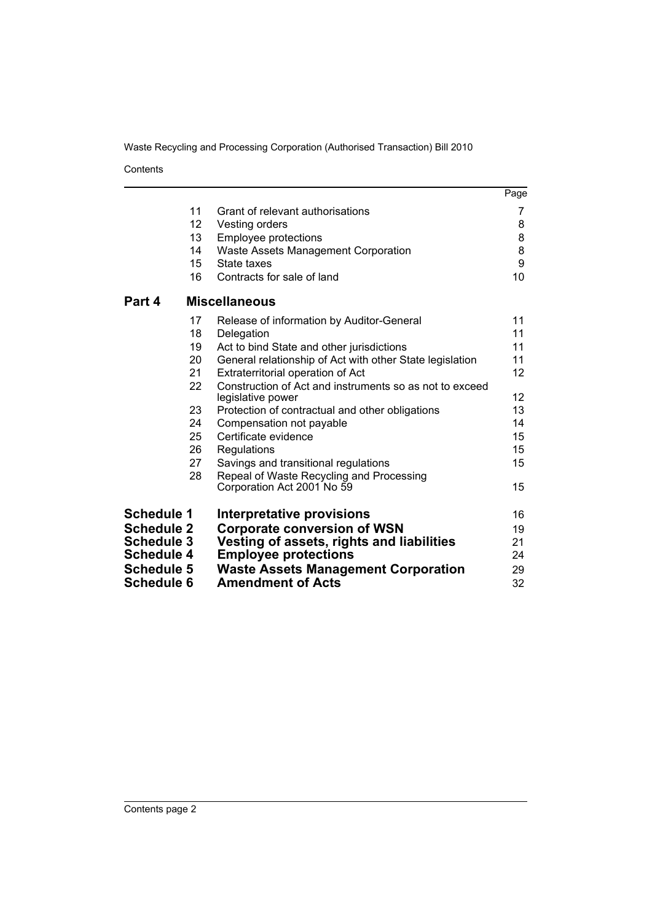Contents

|                   |                 |                                                                              | Page              |
|-------------------|-----------------|------------------------------------------------------------------------------|-------------------|
|                   | 11              | Grant of relevant authorisations                                             | 7                 |
|                   | 12 <sub>2</sub> | Vesting orders                                                               | 8                 |
|                   | 13              | Employee protections                                                         | 8                 |
|                   | 14              | Waste Assets Management Corporation                                          | 8                 |
|                   | 15              | State taxes                                                                  | 9                 |
|                   | 16              | Contracts for sale of land                                                   | 10                |
| Part 4            |                 | <b>Miscellaneous</b>                                                         |                   |
|                   | 17              | Release of information by Auditor-General                                    | 11                |
|                   | 18              | Delegation                                                                   | 11                |
|                   | 19              | Act to bind State and other jurisdictions                                    | 11                |
|                   | 20              | General relationship of Act with other State legislation                     | 11                |
|                   | 21              | Extraterritorial operation of Act                                            | 12                |
|                   | 22              | Construction of Act and instruments so as not to exceed<br>legislative power | $12 \overline{ }$ |
|                   | 23              | Protection of contractual and other obligations                              | 13                |
|                   | 24              | Compensation not payable                                                     | 14                |
|                   | 25              | Certificate evidence                                                         | 15                |
|                   | 26              | Regulations                                                                  | 15                |
|                   | 27              | Savings and transitional regulations                                         | 15                |
|                   | 28              | Repeal of Waste Recycling and Processing                                     |                   |
|                   |                 | Corporation Act 2001 No 59                                                   | 15                |
| <b>Schedule 1</b> |                 | <b>Interpretative provisions</b>                                             | 16                |
| <b>Schedule 2</b> |                 | <b>Corporate conversion of WSN</b>                                           | 19                |
| <b>Schedule 3</b> |                 | Vesting of assets, rights and liabilities                                    | 21                |
| <b>Schedule 4</b> |                 | <b>Employee protections</b>                                                  | 24                |
| <b>Schedule 5</b> |                 | <b>Waste Assets Management Corporation</b>                                   | 29                |
| <b>Schedule 6</b> |                 | <b>Amendment of Acts</b>                                                     | 32                |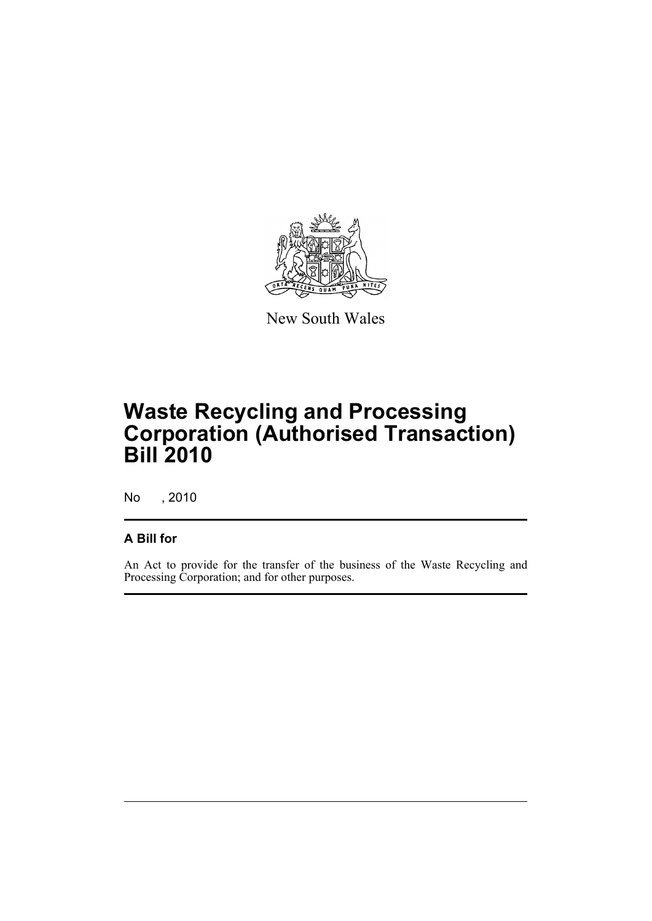

New South Wales

# **Waste Recycling and Processing Corporation (Authorised Transaction) Bill 2010**

No , 2010

## **A Bill for**

An Act to provide for the transfer of the business of the Waste Recycling and Processing Corporation; and for other purposes.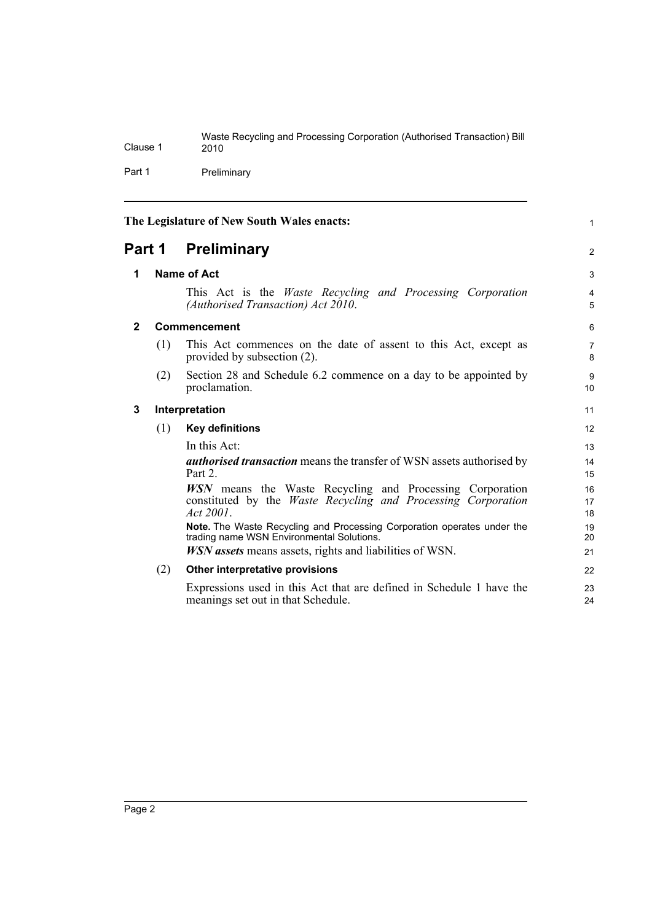|          | Waste Recycling and Processing Corporation (Authorised Transaction) Bill |
|----------|--------------------------------------------------------------------------|
| Clause 1 | 2010                                                                     |
|          |                                                                          |

Part 1 Preliminary

<span id="page-9-3"></span><span id="page-9-2"></span><span id="page-9-1"></span><span id="page-9-0"></span>

| The Legislature of New South Wales enacts: |     | $\mathbf{1}$                                                                                                                                         |                     |
|--------------------------------------------|-----|------------------------------------------------------------------------------------------------------------------------------------------------------|---------------------|
| Part 1                                     |     | <b>Preliminary</b>                                                                                                                                   | $\overline{2}$      |
| 1                                          |     | <b>Name of Act</b>                                                                                                                                   | 3                   |
|                                            |     | This Act is the <i>Waste Recycling and Processing Corporation</i><br>(Authorised Transaction) Act 2010.                                              | $\overline{4}$<br>5 |
| $\mathbf{2}$                               |     | Commencement                                                                                                                                         | 6                   |
|                                            | (1) | This Act commences on the date of assent to this Act, except as<br>provided by subsection (2).                                                       | $\overline{7}$<br>8 |
|                                            | (2) | Section 28 and Schedule 6.2 commence on a day to be appointed by<br>proclamation.                                                                    | 9<br>10             |
| 3                                          |     | Interpretation                                                                                                                                       | 11                  |
|                                            | (1) | <b>Key definitions</b>                                                                                                                               | 12                  |
|                                            |     | In this Act:                                                                                                                                         | 13                  |
|                                            |     | <i>authorised transaction</i> means the transfer of WSN assets authorised by<br>Part 2.                                                              | 14<br>15            |
|                                            |     | <b>WSN</b> means the Waste Recycling and Processing Corporation<br>constituted by the <i>Waste Recycling and Processing Corporation</i><br>Act 2001. | 16<br>17<br>18      |
|                                            |     | Note. The Waste Recycling and Processing Corporation operates under the<br>trading name WSN Environmental Solutions.                                 | 19<br>20            |
|                                            |     | <i>WSN</i> assets means assets, rights and liabilities of WSN.                                                                                       | 21                  |
|                                            | (2) | Other interpretative provisions                                                                                                                      | 22                  |
|                                            |     | Expressions used in this Act that are defined in Schedule 1 have the<br>meanings set out in that Schedule.                                           | 23<br>24            |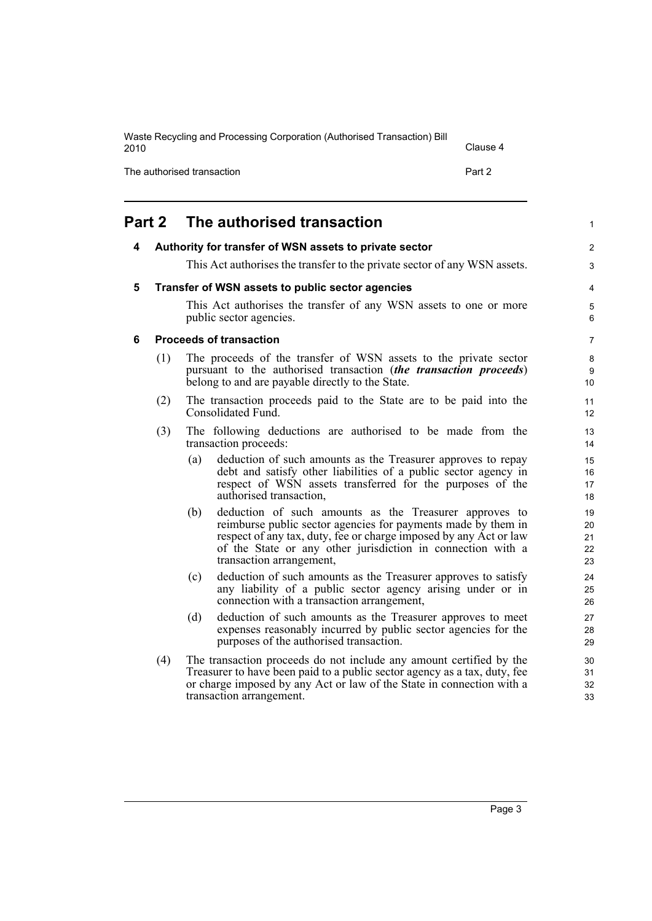| Waste Recycling and Processing Corporation (Authorised Transaction) Bill<br>2010 | Clause 4 |
|----------------------------------------------------------------------------------|----------|
| The authorised transaction                                                       | Part 2   |

<span id="page-10-3"></span><span id="page-10-2"></span><span id="page-10-1"></span><span id="page-10-0"></span>

| Part 2 |     | The authorised transaction                                                                                                                                                                                                                                                                     | 1                          |
|--------|-----|------------------------------------------------------------------------------------------------------------------------------------------------------------------------------------------------------------------------------------------------------------------------------------------------|----------------------------|
| 4      |     | Authority for transfer of WSN assets to private sector                                                                                                                                                                                                                                         | $\overline{c}$             |
|        |     | This Act authorises the transfer to the private sector of any WSN assets.                                                                                                                                                                                                                      | 3                          |
| 5      |     | Transfer of WSN assets to public sector agencies                                                                                                                                                                                                                                               | 4                          |
|        |     | This Act authorises the transfer of any WSN assets to one or more<br>public sector agencies.                                                                                                                                                                                                   | 5<br>6                     |
| 6      |     | <b>Proceeds of transaction</b>                                                                                                                                                                                                                                                                 | 7                          |
|        | (1) | The proceeds of the transfer of WSN assets to the private sector<br>pursuant to the authorised transaction (the transaction proceeds)<br>belong to and are payable directly to the State.                                                                                                      | 8<br>9<br>10               |
|        | (2) | The transaction proceeds paid to the State are to be paid into the<br>Consolidated Fund.                                                                                                                                                                                                       | 11<br>12                   |
|        | (3) | The following deductions are authorised to be made from the<br>transaction proceeds:                                                                                                                                                                                                           | 13<br>14                   |
|        |     | deduction of such amounts as the Treasurer approves to repay<br>(a)<br>debt and satisfy other liabilities of a public sector agency in<br>respect of WSN assets transferred for the purposes of the<br>authorised transaction,                                                                 | 15<br>16<br>17<br>18       |
|        |     | deduction of such amounts as the Treasurer approves to<br>(b)<br>reimburse public sector agencies for payments made by them in<br>respect of any tax, duty, fee or charge imposed by any Act or law<br>of the State or any other jurisdiction in connection with a<br>transaction arrangement, | 19<br>20<br>21<br>22<br>23 |
|        |     | deduction of such amounts as the Treasurer approves to satisfy<br>(c)<br>any liability of a public sector agency arising under or in<br>connection with a transaction arrangement,                                                                                                             | 24<br>25<br>26             |
|        |     | deduction of such amounts as the Treasurer approves to meet<br>(d)<br>expenses reasonably incurred by public sector agencies for the<br>purposes of the authorised transaction.                                                                                                                | 27<br>28<br>29             |
|        | (4) | The transaction proceeds do not include any amount certified by the<br>Treasurer to have been paid to a public sector agency as a tax, duty, fee<br>or charge imposed by any Act or law of the State in connection with a<br>transaction arrangement.                                          | 30<br>31<br>32<br>33       |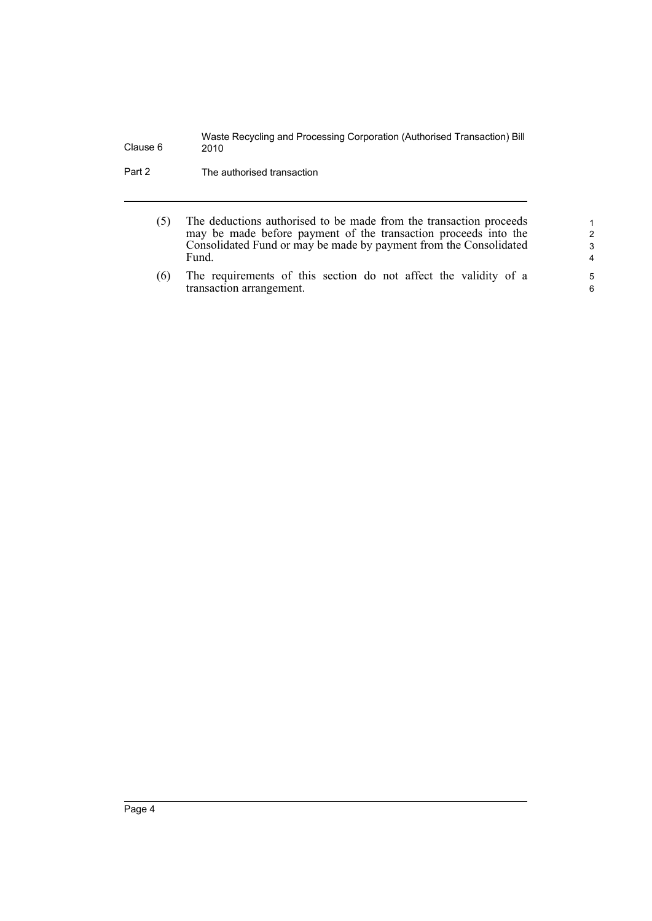Part 2 The authorised transaction

- (5) The deductions authorised to be made from the transaction proceeds may be made before payment of the transaction proceeds into the Consolidated Fund or may be made by payment from the Consolidated Fund.
- (6) The requirements of this section do not affect the validity of a transaction arrangement.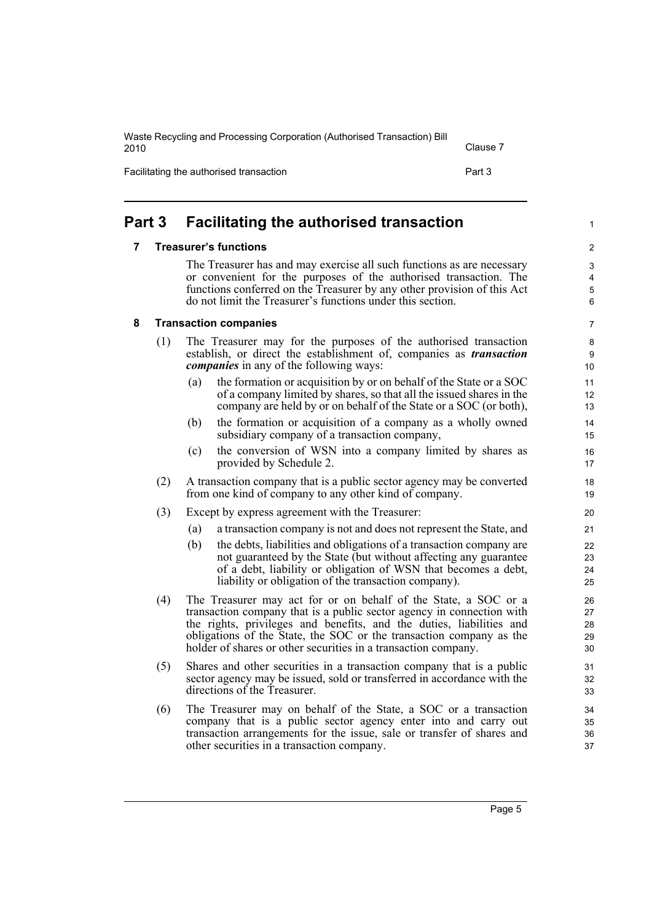| Waste Recycling and Processing Corporation (Authorised Transaction) Bill<br>2010 |        |  |
|----------------------------------------------------------------------------------|--------|--|
| Facilitating the authorised transaction                                          | Part 3 |  |

## <span id="page-12-1"></span><span id="page-12-0"></span>**Part 3 Facilitating the authorised transaction**

### **7 Treasurer's functions**

The Treasurer has and may exercise all such functions as are necessary or convenient for the purposes of the authorised transaction. The functions conferred on the Treasurer by any other provision of this Act do not limit the Treasurer's functions under this section.

### <span id="page-12-2"></span>**8 Transaction companies**

- (1) The Treasurer may for the purposes of the authorised transaction establish, or direct the establishment of, companies as *transaction companies* in any of the following ways:
	- (a) the formation or acquisition by or on behalf of the State or a SOC of a company limited by shares, so that all the issued shares in the company are held by or on behalf of the State or a SOC (or both),
	- (b) the formation or acquisition of a company as a wholly owned subsidiary company of a transaction company,
	- (c) the conversion of WSN into a company limited by shares as provided by Schedule 2.
- (2) A transaction company that is a public sector agency may be converted from one kind of company to any other kind of company.
- (3) Except by express agreement with the Treasurer:
	- (a) a transaction company is not and does not represent the State, and
	- (b) the debts, liabilities and obligations of a transaction company are not guaranteed by the State (but without affecting any guarantee of a debt, liability or obligation of WSN that becomes a debt, liability or obligation of the transaction company).
- (4) The Treasurer may act for or on behalf of the State, a SOC or a transaction company that is a public sector agency in connection with the rights, privileges and benefits, and the duties, liabilities and obligations of the State, the SOC or the transaction company as the holder of shares or other securities in a transaction company.
- (5) Shares and other securities in a transaction company that is a public sector agency may be issued, sold or transferred in accordance with the directions of the Treasurer.
- (6) The Treasurer may on behalf of the State, a SOC or a transaction company that is a public sector agency enter into and carry out transaction arrangements for the issue, sale or transfer of shares and other securities in a transaction company.

Page 5

 $\mathfrak{p}$ 3 4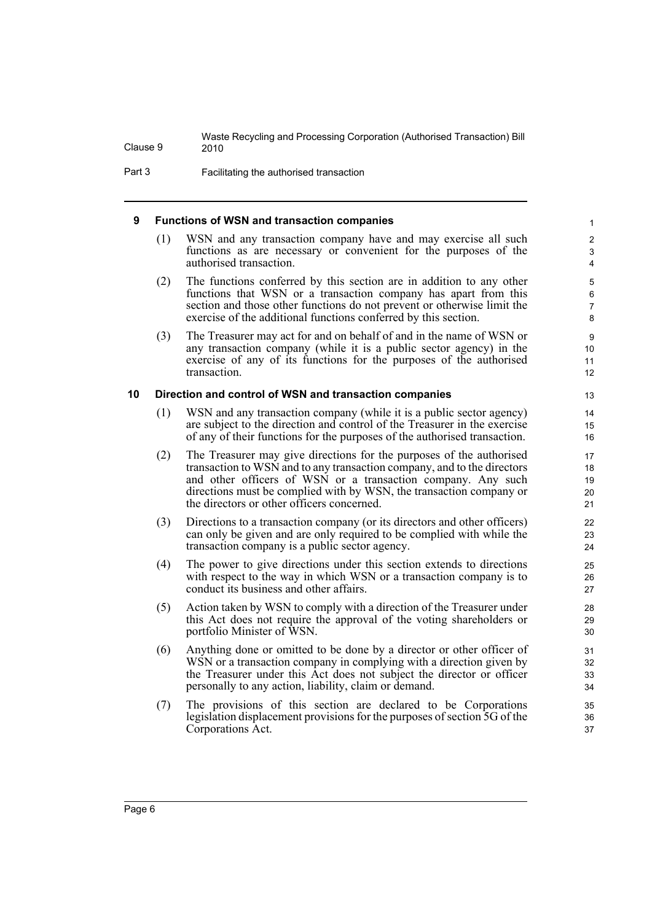Part 3 Facilitating the authorised transaction

### <span id="page-13-0"></span>**9 Functions of WSN and transaction companies**

(1) WSN and any transaction company have and may exercise all such functions as are necessary or convenient for the purposes of the authorised transaction.

- (2) The functions conferred by this section are in addition to any other functions that WSN or a transaction company has apart from this section and those other functions do not prevent or otherwise limit the exercise of the additional functions conferred by this section.
- (3) The Treasurer may act for and on behalf of and in the name of WSN or any transaction company (while it is a public sector agency) in the exercise of any of its functions for the purposes of the authorised transaction.

### <span id="page-13-1"></span>**10 Direction and control of WSN and transaction companies**

- (1) WSN and any transaction company (while it is a public sector agency) are subject to the direction and control of the Treasurer in the exercise of any of their functions for the purposes of the authorised transaction.
- (2) The Treasurer may give directions for the purposes of the authorised transaction to WSN and to any transaction company, and to the directors and other officers of WSN or a transaction company. Any such directions must be complied with by WSN, the transaction company or the directors or other officers concerned.
- (3) Directions to a transaction company (or its directors and other officers) can only be given and are only required to be complied with while the transaction company is a public sector agency.
- (4) The power to give directions under this section extends to directions with respect to the way in which WSN or a transaction company is to conduct its business and other affairs.
- (5) Action taken by WSN to comply with a direction of the Treasurer under this Act does not require the approval of the voting shareholders or portfolio Minister of WSN.
- (6) Anything done or omitted to be done by a director or other officer of WSN or a transaction company in complying with a direction given by the Treasurer under this Act does not subject the director or officer personally to any action, liability, claim or demand.
- (7) The provisions of this section are declared to be Corporations legislation displacement provisions for the purposes of section 5G of the Corporations Act.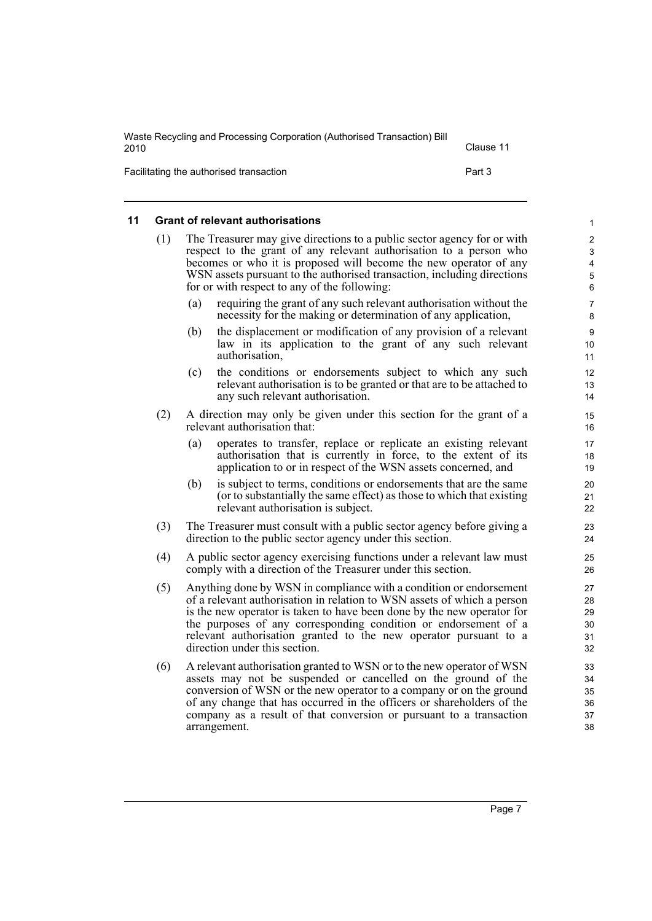| Waste Recycling and Processing Corporation (Authorised Transaction) Bill<br>2010 | Clause 11 |
|----------------------------------------------------------------------------------|-----------|
| Facilitating the authorised transaction                                          | Part 3    |

### <span id="page-14-0"></span>**11 Grant of relevant authorisations**

| (1) | The Treasurer may give directions to a public sector agency for or with<br>respect to the grant of any relevant authorisation to a person who<br>becomes or who it is proposed will become the new operator of any<br>WSN assets pursuant to the authorised transaction, including directions<br>for or with respect to any of the following: |  |
|-----|-----------------------------------------------------------------------------------------------------------------------------------------------------------------------------------------------------------------------------------------------------------------------------------------------------------------------------------------------|--|
|     | requiring the grant of any such relevant authorisation without the<br>(a)<br>necessity for the making or determination of any application,                                                                                                                                                                                                    |  |

- (b) the displacement or modification of any provision of a relevant law in its application to the grant of any such relevant authorisation,
- (c) the conditions or endorsements subject to which any such relevant authorisation is to be granted or that are to be attached to any such relevant authorisation.
- (2) A direction may only be given under this section for the grant of a relevant authorisation that:
	- (a) operates to transfer, replace or replicate an existing relevant authorisation that is currently in force, to the extent of its application to or in respect of the WSN assets concerned, and
	- (b) is subject to terms, conditions or endorsements that are the same (or to substantially the same effect) as those to which that existing relevant authorisation is subject.
- (3) The Treasurer must consult with a public sector agency before giving a direction to the public sector agency under this section.
- (4) A public sector agency exercising functions under a relevant law must comply with a direction of the Treasurer under this section.
- (5) Anything done by WSN in compliance with a condition or endorsement of a relevant authorisation in relation to WSN assets of which a person is the new operator is taken to have been done by the new operator for the purposes of any corresponding condition or endorsement of a relevant authorisation granted to the new operator pursuant to a direction under this section.
- (6) A relevant authorisation granted to WSN or to the new operator of WSN assets may not be suspended or cancelled on the ground of the conversion of WSN or the new operator to a company or on the ground of any change that has occurred in the officers or shareholders of the company as a result of that conversion or pursuant to a transaction arrangement.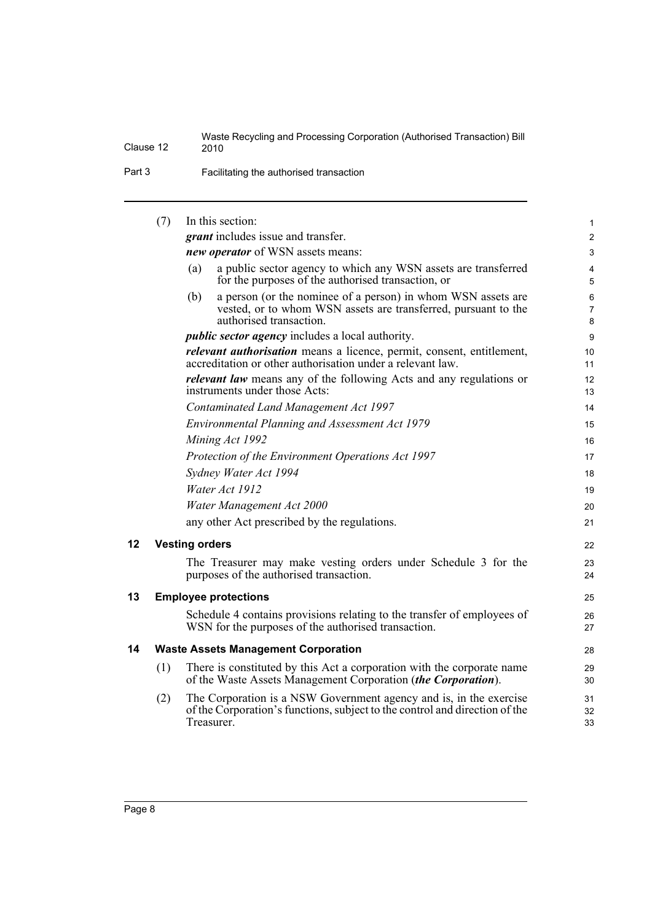Part 3 Facilitating the authorised transaction

<span id="page-15-2"></span><span id="page-15-1"></span><span id="page-15-0"></span>

|    | (7) | In this section:                                                                                                                                                 | 1                        |
|----|-----|------------------------------------------------------------------------------------------------------------------------------------------------------------------|--------------------------|
|    |     | <i>grant</i> includes issue and transfer.                                                                                                                        | $\mathbf{2}$             |
|    |     | new operator of WSN assets means:                                                                                                                                | 3                        |
|    |     | a public sector agency to which any WSN assets are transferred<br>(a)<br>for the purposes of the authorised transaction, or                                      | 4<br>5                   |
|    |     | a person (or the nominee of a person) in whom WSN assets are<br>(b)<br>vested, or to whom WSN assets are transferred, pursuant to the<br>authorised transaction. | 6<br>$\overline{7}$<br>8 |
|    |     | <i>public sector agency</i> includes a local authority.                                                                                                          | 9                        |
|    |     | <i>relevant authorisation</i> means a licence, permit, consent, entitlement,<br>accreditation or other authorisation under a relevant law.                       | 10<br>11                 |
|    |     | <i>relevant law</i> means any of the following Acts and any regulations or<br>instruments under those Acts:                                                      | 12<br>13                 |
|    |     | Contaminated Land Management Act 1997                                                                                                                            | 14                       |
|    |     | Environmental Planning and Assessment Act 1979                                                                                                                   | 15                       |
|    |     | Mining Act 1992                                                                                                                                                  | 16                       |
|    |     | Protection of the Environment Operations Act 1997                                                                                                                | 17                       |
|    |     | Sydney Water Act 1994                                                                                                                                            | 18                       |
|    |     | Water Act 1912                                                                                                                                                   | 19                       |
|    |     | Water Management Act 2000                                                                                                                                        | 20                       |
|    |     | any other Act prescribed by the regulations.                                                                                                                     | 21                       |
| 12 |     | <b>Vesting orders</b>                                                                                                                                            | 22                       |
|    |     | The Treasurer may make vesting orders under Schedule 3 for the<br>purposes of the authorised transaction.                                                        | 23<br>24                 |
| 13 |     | <b>Employee protections</b>                                                                                                                                      | 25                       |
|    |     | Schedule 4 contains provisions relating to the transfer of employees of<br>WSN for the purposes of the authorised transaction.                                   | 26<br>27                 |
| 14 |     | <b>Waste Assets Management Corporation</b>                                                                                                                       | 28                       |
|    | (1) | There is constituted by this Act a corporation with the corporate name<br>of the Waste Assets Management Corporation (the Corporation).                          | 29<br>30                 |
|    | (2) | The Corporation is a NSW Government agency and is, in the exercise<br>of the Corporation's functions, subject to the control and direction of the<br>Treasurer.  | 31<br>32<br>33           |
|    |     |                                                                                                                                                                  |                          |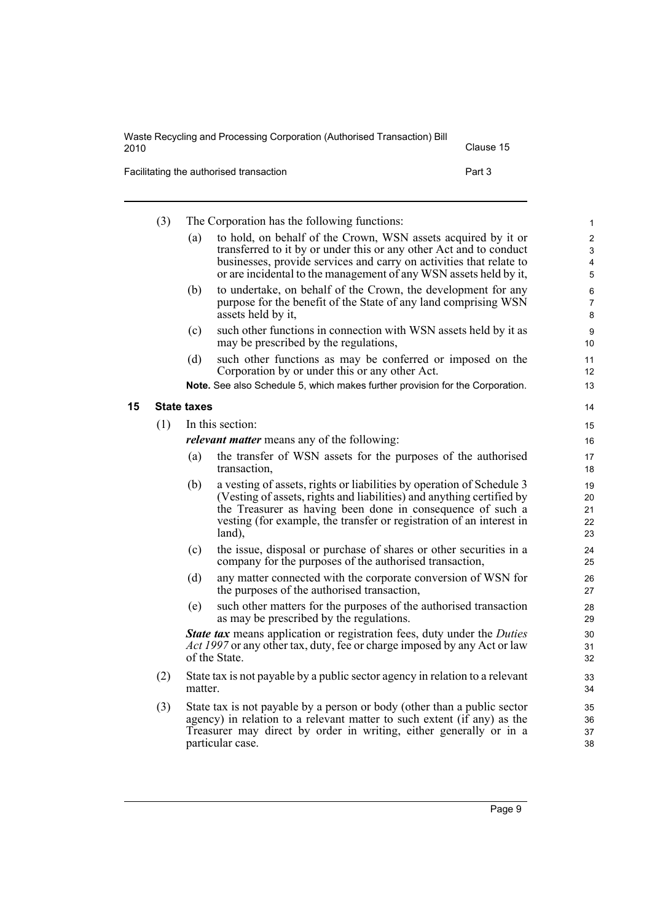| Waste Recycling and Processing Corporation (Authorised Transaction) Bill<br>2010 | Clause 15 |
|----------------------------------------------------------------------------------|-----------|
| Facilitating the authorised transaction                                          | Part 3    |

<span id="page-16-0"></span>(3) The Corporation has the following functions: (a) to hold, on behalf of the Crown, WSN assets acquired by it or transferred to it by or under this or any other Act and to conduct businesses, provide services and carry on activities that relate to or are incidental to the management of any WSN assets held by it, (b) to undertake, on behalf of the Crown, the development for any purpose for the benefit of the State of any land comprising WSN assets held by it, (c) such other functions in connection with WSN assets held by it as may be prescribed by the regulations, (d) such other functions as may be conferred or imposed on the Corporation by or under this or any other Act. **Note.** See also Schedule 5, which makes further provision for the Corporation. **15 State taxes** (1) In this section: *relevant matter* means any of the following: (a) the transfer of WSN assets for the purposes of the authorised transaction, (b) a vesting of assets, rights or liabilities by operation of Schedule 3 (Vesting of assets, rights and liabilities) and anything certified by the Treasurer as having been done in consequence of such a vesting (for example, the transfer or registration of an interest in land), (c) the issue, disposal or purchase of shares or other securities in a company for the purposes of the authorised transaction, (d) any matter connected with the corporate conversion of WSN for the purposes of the authorised transaction, (e) such other matters for the purposes of the authorised transaction as may be prescribed by the regulations. *State tax* means application or registration fees, duty under the *Duties Act 1997* or any other tax, duty, fee or charge imposed by any Act or law of the State. (2) State tax is not payable by a public sector agency in relation to a relevant matter. (3) State tax is not payable by a person or body (other than a public sector agency) in relation to a relevant matter to such extent (if any) as the Treasurer may direct by order in writing, either generally or in a 1 2 3 4 5 6 7 8 9 10 11 12 13 14 15 16 17 18 19 20 21 22 23 24 25 26 27 28 29 30 31 32 33 34 35 36 37

particular case.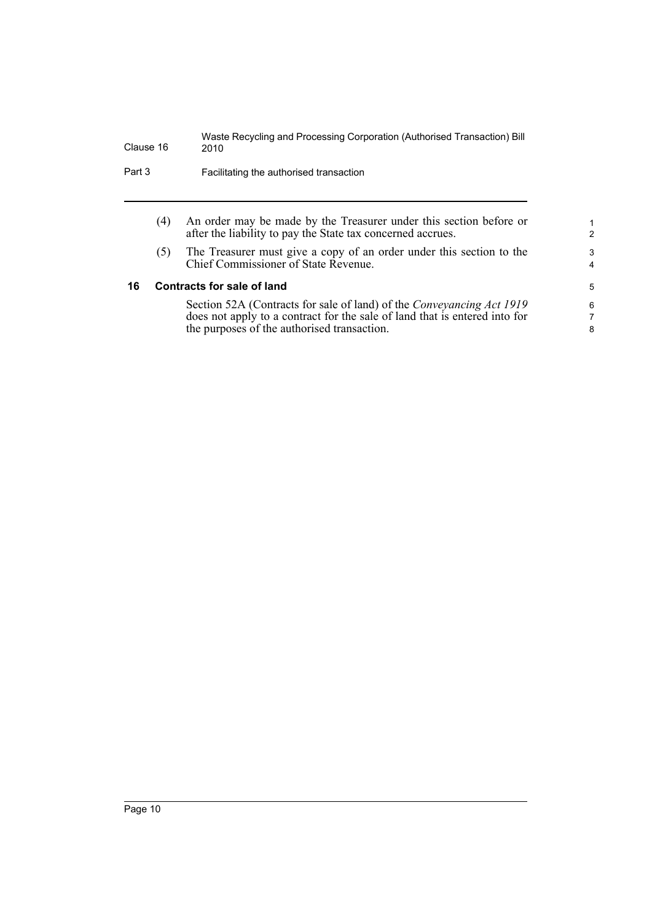| Part 3 | Facilitating the authorised transaction |
|--------|-----------------------------------------|
|--------|-----------------------------------------|

(4) An order may be made by the Treasurer under this section before or after the liability to pay the State tax concerned accrues.

(5) The Treasurer must give a copy of an order under this section to the Chief Commissioner of State Revenue.

### <span id="page-17-0"></span>**16 Contracts for sale of land**

Section 52A (Contracts for sale of land) of the *Conveyancing Act 1919* does not apply to a contract for the sale of land that is entered into for the purposes of the authorised transaction.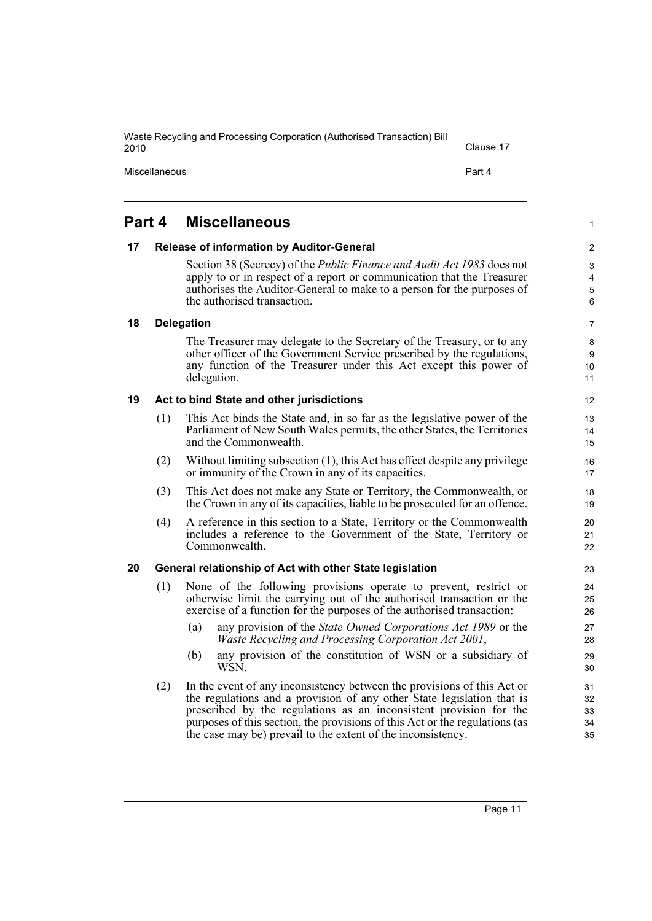<span id="page-18-4"></span><span id="page-18-3"></span><span id="page-18-2"></span><span id="page-18-1"></span><span id="page-18-0"></span>

|        |     | Miscellaneous<br>Part 4                                                                                                                                                                                                                                                                                                                                                |  |  |
|--------|-----|------------------------------------------------------------------------------------------------------------------------------------------------------------------------------------------------------------------------------------------------------------------------------------------------------------------------------------------------------------------------|--|--|
| Part 4 |     | <b>Miscellaneous</b>                                                                                                                                                                                                                                                                                                                                                   |  |  |
| 17     |     | <b>Release of information by Auditor-General</b>                                                                                                                                                                                                                                                                                                                       |  |  |
|        |     | Section 38 (Secrecy) of the <i>Public Finance and Audit Act 1983</i> does not<br>apply to or in respect of a report or communication that the Treasurer<br>authorises the Auditor-General to make to a person for the purposes of<br>the authorised transaction.                                                                                                       |  |  |
| 18     |     | <b>Delegation</b>                                                                                                                                                                                                                                                                                                                                                      |  |  |
|        |     | The Treasurer may delegate to the Secretary of the Treasury, or to any<br>other officer of the Government Service prescribed by the regulations,<br>any function of the Treasurer under this Act except this power of<br>delegation.                                                                                                                                   |  |  |
| 19     |     | Act to bind State and other jurisdictions                                                                                                                                                                                                                                                                                                                              |  |  |
|        | (1) | This Act binds the State and, in so far as the legislative power of the<br>Parliament of New South Wales permits, the other States, the Territories<br>and the Commonwealth.                                                                                                                                                                                           |  |  |
|        | (2) | Without limiting subsection $(1)$ , this Act has effect despite any privilege<br>or immunity of the Crown in any of its capacities.                                                                                                                                                                                                                                    |  |  |
|        | (3) | This Act does not make any State or Territory, the Commonwealth, or<br>the Crown in any of its capacities, liable to be prosecuted for an offence.                                                                                                                                                                                                                     |  |  |
|        | (4) | A reference in this section to a State, Territory or the Commonwealth<br>includes a reference to the Government of the State, Territory or<br>Commonwealth.                                                                                                                                                                                                            |  |  |
| 20     |     | General relationship of Act with other State legislation                                                                                                                                                                                                                                                                                                               |  |  |
|        | (1) | None of the following provisions operate to prevent, restrict or<br>otherwise limit the carrying out of the authorised transaction or the<br>exercise of a function for the purposes of the authorised transaction:                                                                                                                                                    |  |  |
|        |     | any provision of the <i>State Owned Corporations Act 1989</i> or the<br>(a)<br>Waste Recycling and Processing Corporation Act 2001,                                                                                                                                                                                                                                    |  |  |
|        |     | (b) any provision of the constitution of WSN or a subsidiary of<br>WSN.                                                                                                                                                                                                                                                                                                |  |  |
|        | (2) | In the event of any inconsistency between the provisions of this Act or<br>the regulations and a provision of any other State legislation that is<br>prescribed by the regulations as an inconsistent provision for the<br>purposes of this section, the provisions of this Act or the regulations (as<br>the case may be) prevail to the extent of the inconsistency. |  |  |

Clause 17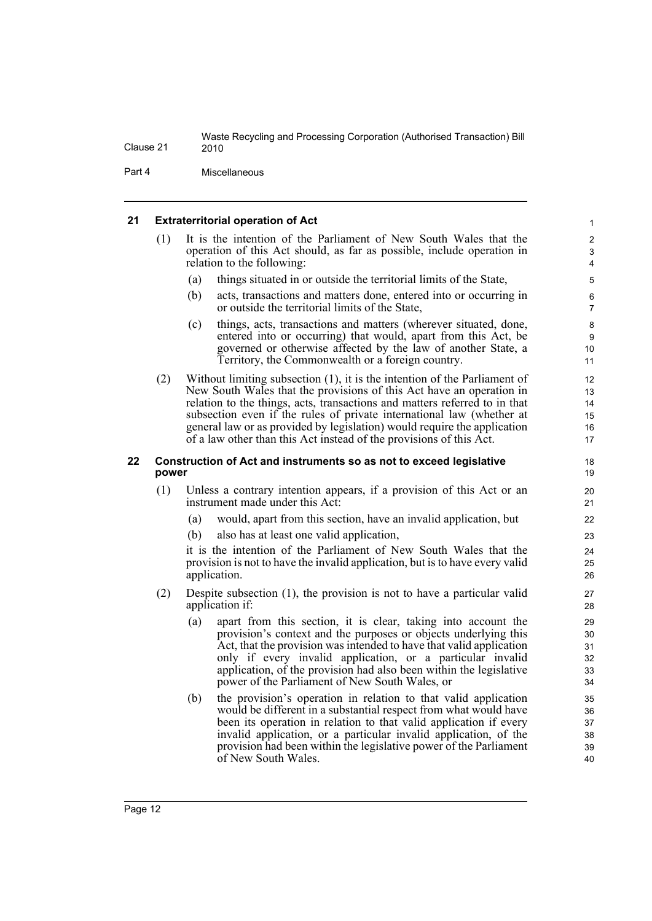Part 4 Miscellaneous

### <span id="page-19-0"></span>**21 Extraterritorial operation of Act**

| (1) | It is the intention of the Parliament of New South Wales that the      |
|-----|------------------------------------------------------------------------|
|     | operation of this Act should, as far as possible, include operation in |
|     | relation to the following:                                             |

- (a) things situated in or outside the territorial limits of the State,
- (b) acts, transactions and matters done, entered into or occurring in or outside the territorial limits of the State,

- (c) things, acts, transactions and matters (wherever situated, done, entered into or occurring) that would, apart from this Act, be governed or otherwise affected by the law of another State, a Territory, the Commonwealth or a foreign country.
- (2) Without limiting subsection (1), it is the intention of the Parliament of New South Wales that the provisions of this Act have an operation in relation to the things, acts, transactions and matters referred to in that subsection even if the rules of private international law (whether at general law or as provided by legislation) would require the application of a law other than this Act instead of the provisions of this Act.

### <span id="page-19-1"></span>**22 Construction of Act and instruments so as not to exceed legislative power**

- (1) Unless a contrary intention appears, if a provision of this Act or an instrument made under this Act:
	- (a) would, apart from this section, have an invalid application, but
	- (b) also has at least one valid application,

it is the intention of the Parliament of New South Wales that the provision is not to have the invalid application, but is to have every valid application.

- (2) Despite subsection (1), the provision is not to have a particular valid application if:
	- (a) apart from this section, it is clear, taking into account the provision's context and the purposes or objects underlying this Act, that the provision was intended to have that valid application only if every invalid application, or a particular invalid application, of the provision had also been within the legislative power of the Parliament of New South Wales, or
	- (b) the provision's operation in relation to that valid application would be different in a substantial respect from what would have been its operation in relation to that valid application if every invalid application, or a particular invalid application, of the provision had been within the legislative power of the Parliament of New South Wales.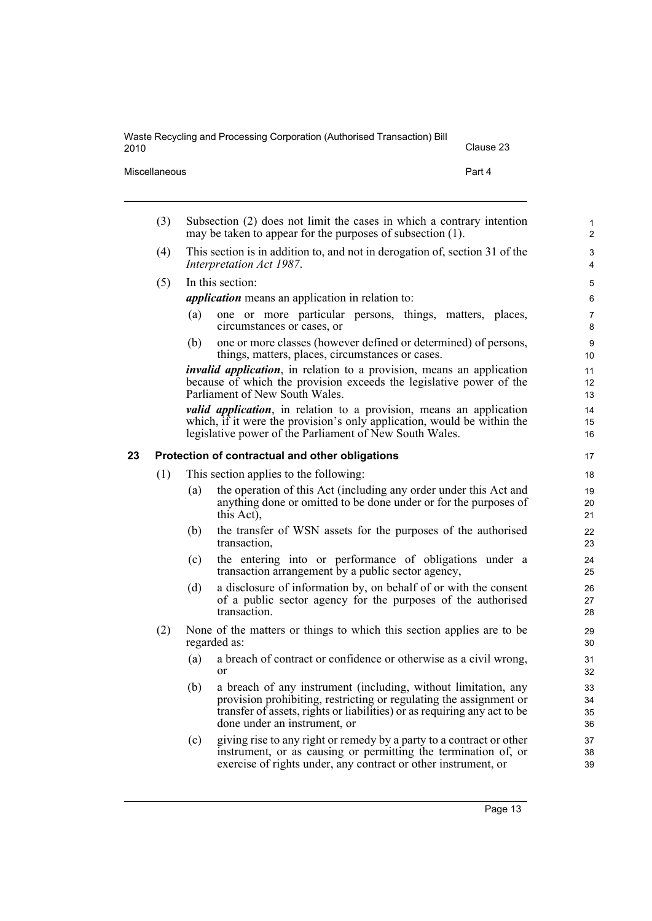<span id="page-20-0"></span>

|    | Miscellaneous |     | Part 4                                                                                                                                                                                                                                           |                      |
|----|---------------|-----|--------------------------------------------------------------------------------------------------------------------------------------------------------------------------------------------------------------------------------------------------|----------------------|
|    | (3)           |     | Subsection (2) does not limit the cases in which a contrary intention<br>may be taken to appear for the purposes of subsection (1).                                                                                                              |                      |
|    | (4)           |     | This section is in addition to, and not in derogation of, section 31 of the<br>Interpretation Act 1987.                                                                                                                                          |                      |
|    | (5)           |     | In this section:                                                                                                                                                                                                                                 |                      |
|    |               |     | <i>application</i> means an application in relation to:                                                                                                                                                                                          |                      |
|    |               | (a) | one or more particular persons, things, matters, places,<br>circumstances or cases, or                                                                                                                                                           |                      |
|    |               | (b) | one or more classes (however defined or determined) of persons,<br>things, matters, places, circumstances or cases.                                                                                                                              |                      |
|    |               |     | <i>invalid application</i> , in relation to a provision, means an application<br>because of which the provision exceeds the legislative power of the<br>Parliament of New South Wales.                                                           |                      |
|    |               |     | valid application, in relation to a provision, means an application<br>which, if it were the provision's only application, would be within the<br>legislative power of the Parliament of New South Wales.                                        |                      |
| 23 |               |     | Protection of contractual and other obligations                                                                                                                                                                                                  |                      |
|    | (1)           |     | This section applies to the following:                                                                                                                                                                                                           |                      |
|    |               | (a) | the operation of this Act (including any order under this Act and<br>anything done or omitted to be done under or for the purposes of<br>this Act),                                                                                              | 19<br>20<br>21       |
|    |               | (b) | the transfer of WSN assets for the purposes of the authorised<br>transaction,                                                                                                                                                                    |                      |
|    |               | (c) | the entering into or performance of obligations under a<br>transaction arrangement by a public sector agency,                                                                                                                                    |                      |
|    |               | (d) | a disclosure of information by, on behalf of or with the consent<br>of a public sector agency for the purposes of the authorised<br>transaction.                                                                                                 |                      |
|    | (2)           |     | None of the matters or things to which this section applies are to be<br>regarded as:                                                                                                                                                            | 29<br>30             |
|    |               | (a) | a breach of contract or confidence or otherwise as a civil wrong,<br>or                                                                                                                                                                          |                      |
|    |               | (b) | a breach of any instrument (including, without limitation, any<br>provision prohibiting, restricting or regulating the assignment or<br>transfer of assets, rights or liabilities) or as requiring any act to be<br>done under an instrument, or | 33<br>34<br>35<br>36 |
|    |               | (c) | giving rise to any right or remedy by a party to a contract or other<br>instrument, or as causing or permitting the termination of, or<br>exercise of rights under, any contract or other instrument, or                                         | 37<br>38<br>39       |

2010 Clause 23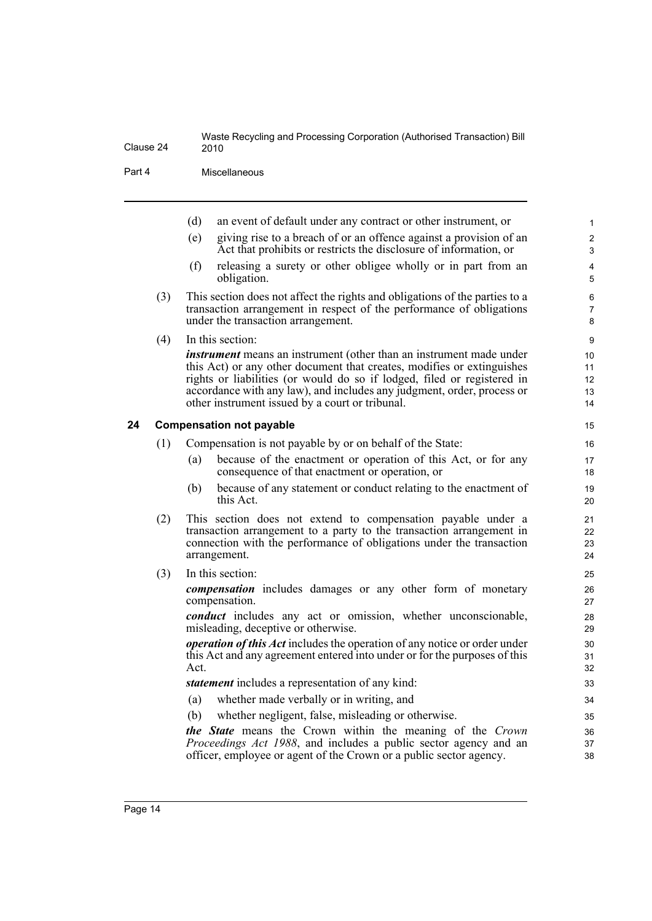Part 4 Miscellaneous

<span id="page-21-0"></span>

|    |     | (d)  | an event of default under any contract or other instrument, or                                                                                                                                                                                                                                                                                               | $\mathbf{1}$                 |
|----|-----|------|--------------------------------------------------------------------------------------------------------------------------------------------------------------------------------------------------------------------------------------------------------------------------------------------------------------------------------------------------------------|------------------------------|
|    |     | (e)  | giving rise to a breach of or an offence against a provision of an<br>Act that prohibits or restricts the disclosure of information, or                                                                                                                                                                                                                      | $\overline{2}$<br>3          |
|    |     | (f)  | releasing a surety or other obligee wholly or in part from an<br>obligation.                                                                                                                                                                                                                                                                                 | $\overline{\mathbf{4}}$<br>5 |
|    | (3) |      | This section does not affect the rights and obligations of the parties to a<br>transaction arrangement in respect of the performance of obligations<br>under the transaction arrangement.                                                                                                                                                                    | 6<br>7<br>8                  |
|    | (4) |      | In this section:                                                                                                                                                                                                                                                                                                                                             | 9                            |
|    |     |      | <i>instrument</i> means an instrument (other than an instrument made under<br>this Act) or any other document that creates, modifies or extinguishes<br>rights or liabilities (or would do so if lodged, filed or registered in<br>accordance with any law), and includes any judgment, order, process or<br>other instrument issued by a court or tribunal. | 10<br>11<br>12<br>13<br>14   |
| 24 |     |      | <b>Compensation not payable</b>                                                                                                                                                                                                                                                                                                                              | 15                           |
|    | (1) |      | Compensation is not payable by or on behalf of the State:                                                                                                                                                                                                                                                                                                    | 16                           |
|    |     | (a)  | because of the enactment or operation of this Act, or for any<br>consequence of that enactment or operation, or                                                                                                                                                                                                                                              | 17<br>18                     |
|    |     | (b)  | because of any statement or conduct relating to the enactment of<br>this Act.                                                                                                                                                                                                                                                                                | 19<br>20                     |
|    | (2) |      | This section does not extend to compensation payable under a<br>transaction arrangement to a party to the transaction arrangement in<br>connection with the performance of obligations under the transaction<br>arrangement.                                                                                                                                 | 21<br>22<br>23<br>24         |
|    | (3) |      | In this section:                                                                                                                                                                                                                                                                                                                                             | 25                           |
|    |     |      | <i>compensation</i> includes damages or any other form of monetary<br>compensation.                                                                                                                                                                                                                                                                          | 26<br>27                     |
|    |     |      | <i>conduct</i> includes any act or omission, whether unconscionable,<br>misleading, deceptive or otherwise.                                                                                                                                                                                                                                                  | 28<br>29                     |
|    |     | Act. | <i>operation of this Act</i> includes the operation of any notice or order under<br>this Act and any agreement entered into under or for the purposes of this                                                                                                                                                                                                | 30<br>31<br>32               |
|    |     |      | <i>statement</i> includes a representation of any kind:                                                                                                                                                                                                                                                                                                      | 33                           |
|    |     | (a)  | whether made verbally or in writing, and                                                                                                                                                                                                                                                                                                                     | 34                           |
|    |     | (b)  | whether negligent, false, misleading or otherwise.                                                                                                                                                                                                                                                                                                           | 35                           |
|    |     |      | the State means the Crown within the meaning of the Crown<br>Proceedings Act 1988, and includes a public sector agency and an<br>officer, employee or agent of the Crown or a public sector agency.                                                                                                                                                          | 36<br>37<br>38               |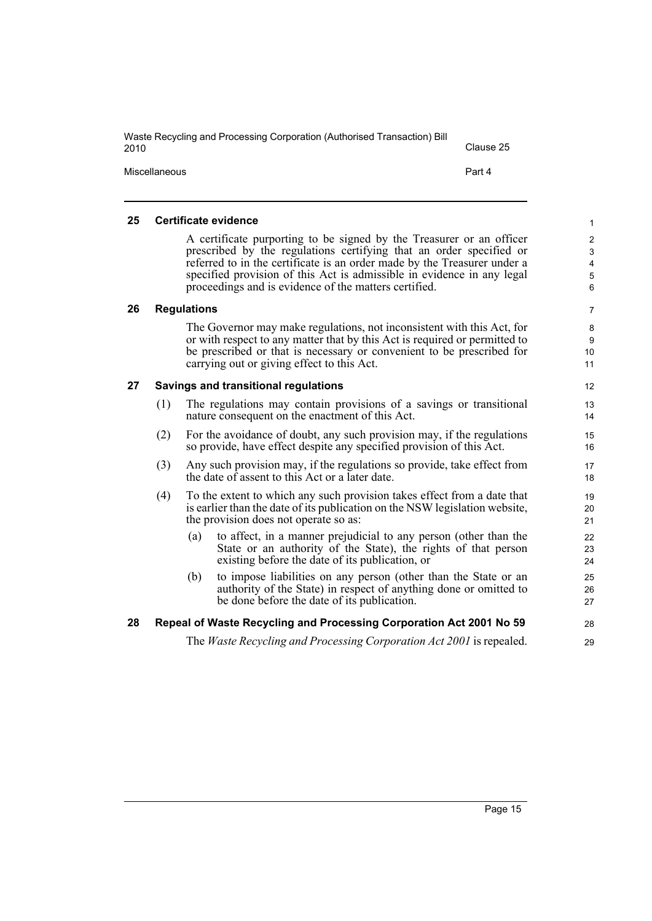| Waste Recycling and Processing Corporation (Authorised Transaction) Bill<br>2010 | Clause 25 |
|----------------------------------------------------------------------------------|-----------|
| Miscellaneous                                                                    | Part 4    |

### <span id="page-22-0"></span>**25 Certificate evidence**

A certificate purporting to be signed by the Treasurer or an officer prescribed by the regulations certifying that an order specified or referred to in the certificate is an order made by the Treasurer under a specified provision of this Act is admissible in evidence in any legal proceedings and is evidence of the matters certified.

### <span id="page-22-1"></span>**26 Regulations**

The Governor may make regulations, not inconsistent with this Act, for or with respect to any matter that by this Act is required or permitted to be prescribed or that is necessary or convenient to be prescribed for carrying out or giving effect to this Act.

### <span id="page-22-2"></span>**27 Savings and transitional regulations**

- (1) The regulations may contain provisions of a savings or transitional nature consequent on the enactment of this Act.
- (2) For the avoidance of doubt, any such provision may, if the regulations so provide, have effect despite any specified provision of this Act.
- (3) Any such provision may, if the regulations so provide, take effect from the date of assent to this Act or a later date.
- (4) To the extent to which any such provision takes effect from a date that is earlier than the date of its publication on the NSW legislation website, the provision does not operate so as:
	- (a) to affect, in a manner prejudicial to any person (other than the State or an authority of the State), the rights of that person existing before the date of its publication, or
	- (b) to impose liabilities on any person (other than the State or an authority of the State) in respect of anything done or omitted to be done before the date of its publication.

### <span id="page-22-3"></span>**28 Repeal of Waste Recycling and Processing Corporation Act 2001 No 59**

The *Waste Recycling and Processing Corporation Act 2001* is repealed.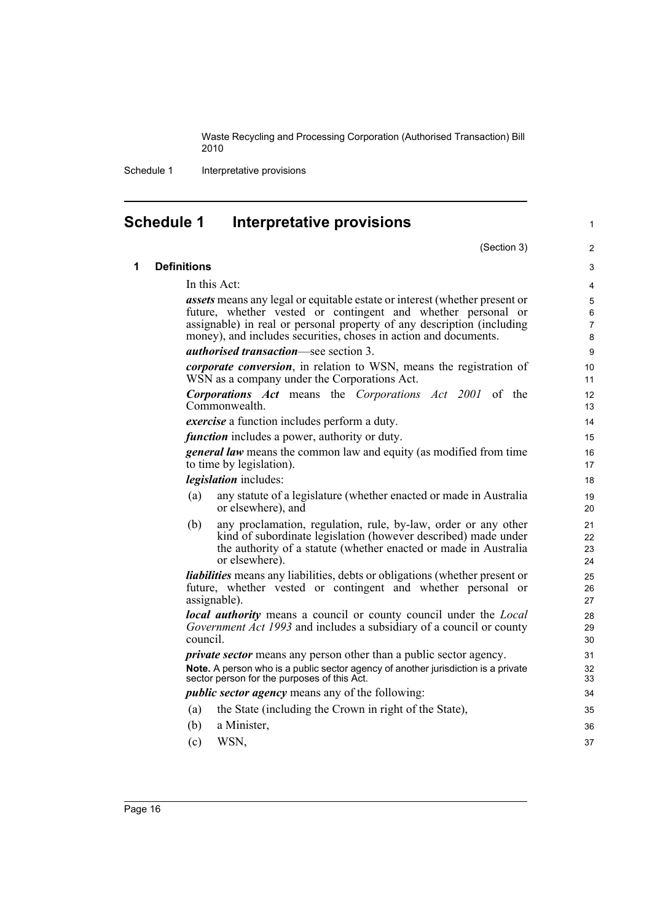Schedule 1 Interpretative provisions

<span id="page-23-0"></span>

| <b>Schedule 1</b><br><b>Interpretative provisions</b><br>$\mathbf{1}$ |                    |                                                                                                                                                                                                                        |                      |  |
|-----------------------------------------------------------------------|--------------------|------------------------------------------------------------------------------------------------------------------------------------------------------------------------------------------------------------------------|----------------------|--|
|                                                                       |                    | (Section 3)                                                                                                                                                                                                            | $\overline{2}$       |  |
| 1                                                                     | <b>Definitions</b> |                                                                                                                                                                                                                        | 3                    |  |
|                                                                       |                    | In this Act:                                                                                                                                                                                                           | $\overline{4}$       |  |
|                                                                       |                    | assets means any legal or equitable estate or interest (whether present or                                                                                                                                             | 5                    |  |
|                                                                       |                    | future, whether vested or contingent and whether personal or                                                                                                                                                           | 6                    |  |
|                                                                       |                    | assignable) in real or personal property of any description (including<br>money), and includes securities, choses in action and documents.                                                                             | $\overline{7}$<br>8  |  |
|                                                                       |                    | <i>authorised transaction</i> —see section 3.                                                                                                                                                                          | 9                    |  |
|                                                                       |                    | <i>corporate conversion</i> , in relation to WSN, means the registration of<br>WSN as a company under the Corporations Act.                                                                                            | 10<br>11             |  |
|                                                                       |                    | <b>Corporations Act</b> means the Corporations Act 2001 of the<br>Commonwealth.                                                                                                                                        | 12<br>13             |  |
|                                                                       |                    | <i>exercise</i> a function includes perform a duty.                                                                                                                                                                    | 14                   |  |
|                                                                       |                    | <i>function</i> includes a power, authority or duty.                                                                                                                                                                   | 15                   |  |
|                                                                       |                    | <b>general law</b> means the common law and equity (as modified from time<br>to time by legislation).                                                                                                                  | 16<br>17             |  |
|                                                                       |                    | <i>legislation</i> includes:                                                                                                                                                                                           | 18                   |  |
|                                                                       | (a)                | any statute of a legislature (whether enacted or made in Australia<br>or elsewhere), and                                                                                                                               | 19<br>20             |  |
|                                                                       | (b)                | any proclamation, regulation, rule, by-law, order or any other<br>kind of subordinate legislation (however described) made under<br>the authority of a statute (whether enacted or made in Australia<br>or elsewhere). | 21<br>22<br>23<br>24 |  |
|                                                                       |                    | <i>liabilities</i> means any liabilities, debts or obligations (whether present or<br>future, whether vested or contingent and whether personal or<br>assignable).                                                     | 25<br>26<br>27       |  |
|                                                                       |                    | <b>local authority</b> means a council or county council under the <i>Local</i><br>Government Act 1993 and includes a subsidiary of a council or county<br>council.                                                    | 28<br>29<br>30       |  |
|                                                                       |                    | <i>private sector</i> means any person other than a public sector agency.                                                                                                                                              | 31                   |  |
|                                                                       |                    | Note. A person who is a public sector agency of another jurisdiction is a private<br>sector person for the purposes of this Act.                                                                                       | 32<br>33             |  |
|                                                                       |                    | <i>public sector agency</i> means any of the following:                                                                                                                                                                | 34                   |  |
|                                                                       | (a)                | the State (including the Crown in right of the State),                                                                                                                                                                 | 35                   |  |
|                                                                       | (b)                | a Minister,                                                                                                                                                                                                            | 36                   |  |
|                                                                       | (c)                | WSN,                                                                                                                                                                                                                   | 37                   |  |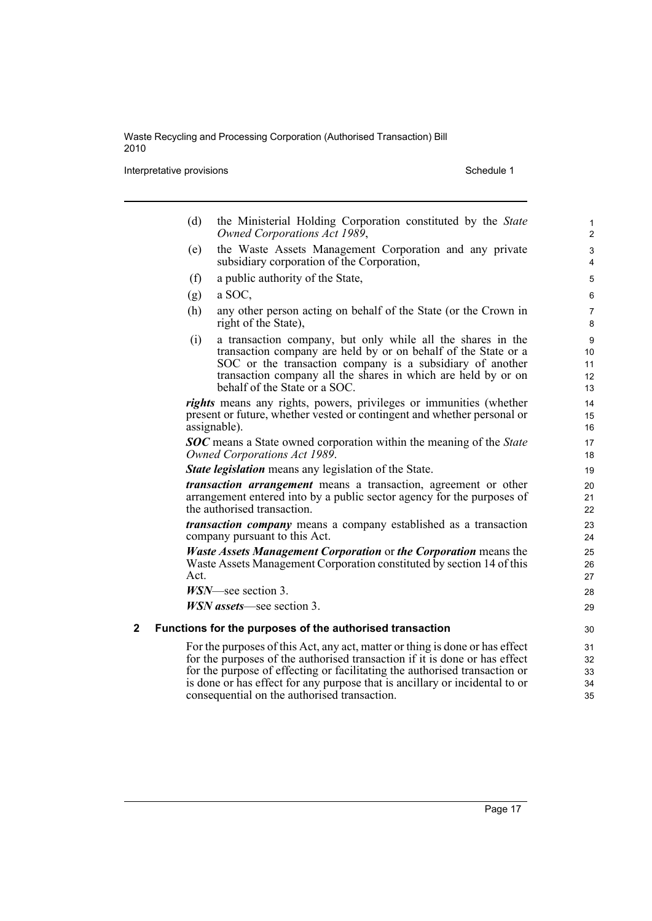**Interpretative provisions** Schedule 1

- (d) the Ministerial Holding Corporation constituted by the *State Owned Corporations Act 1989*,
- (e) the Waste Assets Management Corporation and any private subsidiary corporation of the Corporation,
- (f) a public authority of the State,
- $(g)$  a SOC,
- (h) any other person acting on behalf of the State (or the Crown in right of the State),
- (i) a transaction company, but only while all the shares in the transaction company are held by or on behalf of the State or a SOC or the transaction company is a subsidiary of another transaction company all the shares in which are held by or on behalf of the State or a SOC.

*rights* means any rights, powers, privileges or immunities (whether present or future, whether vested or contingent and whether personal or assignable).

*SOC* means a State owned corporation within the meaning of the *State Owned Corporations Act 1989*.

*State legislation* means any legislation of the State.

*transaction arrangement* means a transaction, agreement or other arrangement entered into by a public sector agency for the purposes of the authorised transaction.

*transaction company* means a company established as a transaction company pursuant to this Act.

*Waste Assets Management Corporation* or *the Corporation* means the Waste Assets Management Corporation constituted by section 14 of this Act.

*WSN*—see section 3.

*WSN assets*—see section 3.

### **2 Functions for the purposes of the authorised transaction**

For the purposes of this Act, any act, matter or thing is done or has effect for the purposes of the authorised transaction if it is done or has effect for the purpose of effecting or facilitating the authorised transaction or is done or has effect for any purpose that is ancillary or incidental to or consequential on the authorised transaction.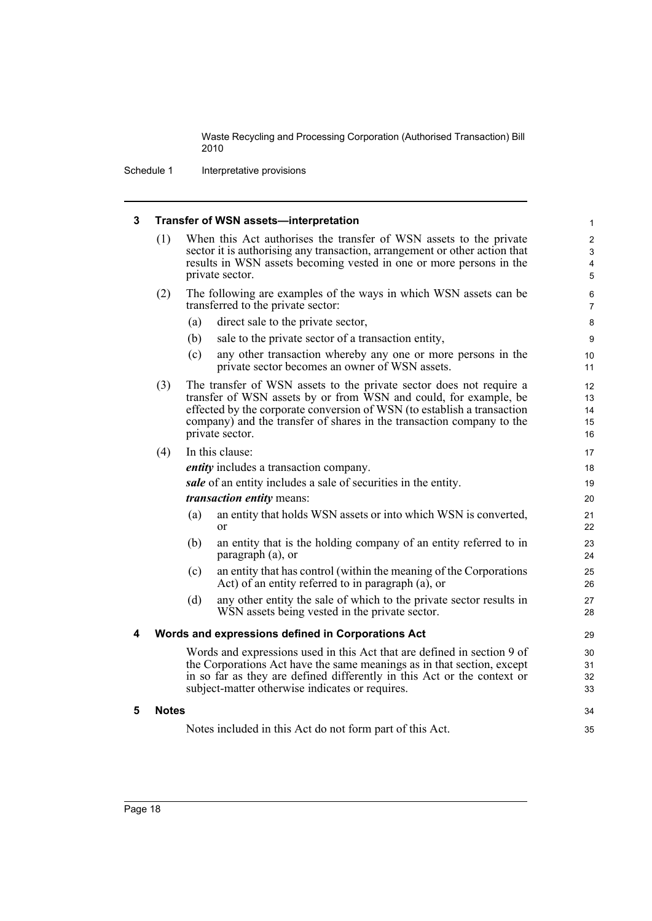34 35

Schedule 1 Interpretative provisions

### **3 Transfer of WSN assets—interpretation**

| (1) | When this Act authorises the transfer of WSN assets to the private         |
|-----|----------------------------------------------------------------------------|
|     | sector it is authorising any transaction, arrangement or other action that |
|     | results in WSN assets becoming vested in one or more persons in the        |
|     | private sector.                                                            |

- (2) The following are examples of the ways in which WSN assets can be transferred to the private sector:
	- (a) direct sale to the private sector,
	- (b) sale to the private sector of a transaction entity,
	- (c) any other transaction whereby any one or more persons in the private sector becomes an owner of WSN assets.
- (3) The transfer of WSN assets to the private sector does not require a transfer of WSN assets by or from WSN and could, for example, be effected by the corporate conversion of WSN (to establish a transaction company) and the transfer of shares in the transaction company to the private sector.
- (4) In this clause: *entity* includes a transaction company. *sale* of an entity includes a sale of securities in the entity. *transaction entity* means: (a) an entity that holds WSN assets or into which WSN is converted, or 17 18 19 20 21 22
	- (b) an entity that is the holding company of an entity referred to in paragraph (a), or
	- (c) an entity that has control (within the meaning of the Corporations Act) of an entity referred to in paragraph (a), or
	- (d) any other entity the sale of which to the private sector results in WSN assets being vested in the private sector.

### **4 Words and expressions defined in Corporations Act**

Words and expressions used in this Act that are defined in section 9 of the Corporations Act have the same meanings as in that section, except in so far as they are defined differently in this Act or the context or subject-matter otherwise indicates or requires.

### **5 Notes**

Notes included in this Act do not form part of this Act.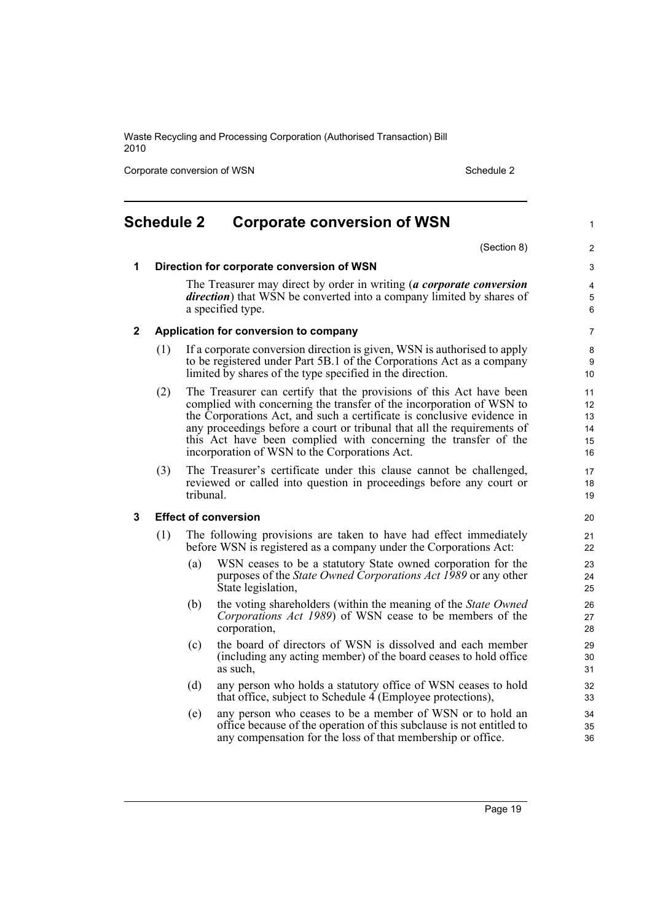Corporate conversion of WSN Schedule 2

## <span id="page-26-0"></span>**Schedule 2 Corporate conversion of WSN**

(Section 8)

1

**1 Direction for corporate conversion of WSN**

The Treasurer may direct by order in writing (*a corporate conversion direction*) that WSN be converted into a company limited by shares of a specified type.

### **2 Application for conversion to company**

- (1) If a corporate conversion direction is given, WSN is authorised to apply to be registered under Part 5B.1 of the Corporations Act as a company limited by shares of the type specified in the direction.
- (2) The Treasurer can certify that the provisions of this Act have been complied with concerning the transfer of the incorporation of WSN to the Corporations Act, and such a certificate is conclusive evidence in any proceedings before a court or tribunal that all the requirements of this Act have been complied with concerning the transfer of the incorporation of WSN to the Corporations Act.
- (3) The Treasurer's certificate under this clause cannot be challenged, reviewed or called into question in proceedings before any court or tribunal.

### **3 Effect of conversion**

- (1) The following provisions are taken to have had effect immediately before WSN is registered as a company under the Corporations Act:
	- (a) WSN ceases to be a statutory State owned corporation for the purposes of the *State Owned Corporations Act 1989* or any other State legislation,
	- (b) the voting shareholders (within the meaning of the *State Owned Corporations Act 1989*) of WSN cease to be members of the corporation,
	- (c) the board of directors of WSN is dissolved and each member (including any acting member) of the board ceases to hold office as such,
	- (d) any person who holds a statutory office of WSN ceases to hold that office, subject to Schedule 4 (Employee protections),
	- (e) any person who ceases to be a member of WSN or to hold an office because of the operation of this subclause is not entitled to any compensation for the loss of that membership or office.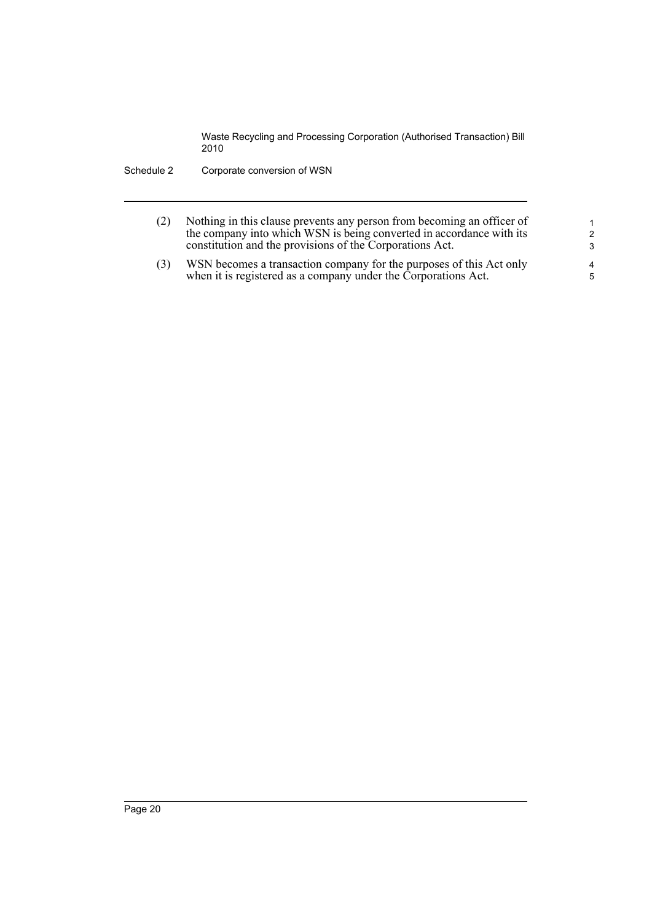- (2) Nothing in this clause prevents any person from becoming an officer of the company into which WSN is being converted in accordance with its constitution and the provisions of the Corporations Act.
- (3) WSN becomes a transaction company for the purposes of this Act only when it is registered as a company under the Corporations Act.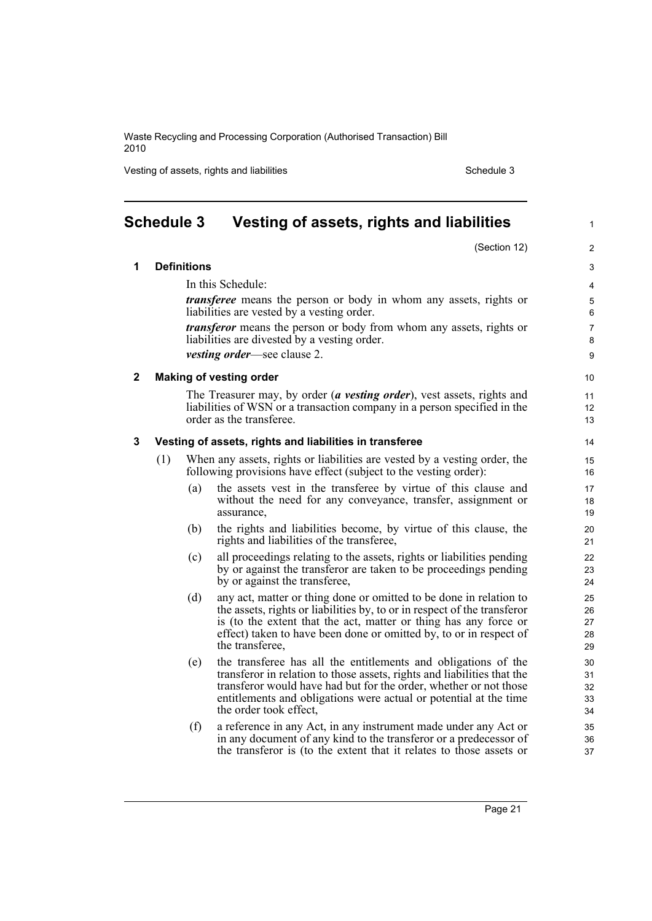Vesting of assets, rights and liabilities Schedule 3 Schedule 3

**1 Definitions**

1

## <span id="page-28-0"></span>**Schedule 3 Vesting of assets, rights and liabilities**

(Section 12) In this Schedule: *transferee* means the person or body in whom any assets, rights or liabilities are vested by a vesting order. *transferor* means the person or body from whom any assets, rights or liabilities are divested by a vesting order. *vesting order*—see clause 2. **2 Making of vesting order** The Treasurer may, by order (*a vesting order*), vest assets, rights and liabilities of WSN or a transaction company in a person specified in the order as the transferee. **3 Vesting of assets, rights and liabilities in transferee** (1) When any assets, rights or liabilities are vested by a vesting order, the following provisions have effect (subject to the vesting order): (a) the assets vest in the transferee by virtue of this clause and without the need for any conveyance, transfer, assignment or assurance, (b) the rights and liabilities become, by virtue of this clause, the rights and liabilities of the transferee, (c) all proceedings relating to the assets, rights or liabilities pending by or against the transferor are taken to be proceedings pending by or against the transferee, (d) any act, matter or thing done or omitted to be done in relation to the assets, rights or liabilities by, to or in respect of the transferor is (to the extent that the act, matter or thing has any force or effect) taken to have been done or omitted by, to or in respect of the transferee, (e) the transferee has all the entitlements and obligations of the transferor in relation to those assets, rights and liabilities that the transferor would have had but for the order, whether or not those entitlements and obligations were actual or potential at the time the order took effect,

(f) a reference in any Act, in any instrument made under any Act or in any document of any kind to the transferor or a predecessor of the transferor is (to the extent that it relates to those assets or

Page 21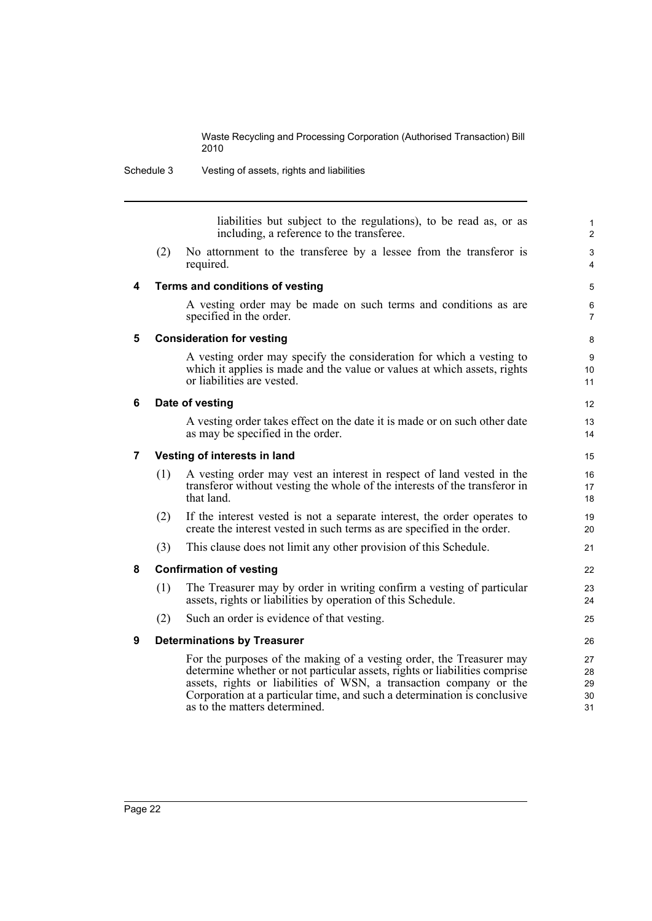Schedule 3 Vesting of assets, rights and liabilities

liabilities but subject to the regulations), to be read as, or as including, a reference to the transferee.

12 13 14

(2) No attornment to the transferee by a lessee from the transferor is required.

### **4 Terms and conditions of vesting**

A vesting order may be made on such terms and conditions as are specified in the order.

### **5 Consideration for vesting**

A vesting order may specify the consideration for which a vesting to which it applies is made and the value or values at which assets, rights or liabilities are vested.

### **6 Date of vesting**

A vesting order takes effect on the date it is made or on such other date as may be specified in the order.

### **7 Vesting of interests in land**

- (1) A vesting order may vest an interest in respect of land vested in the transferor without vesting the whole of the interests of the transferor in that land.
- (2) If the interest vested is not a separate interest, the order operates to create the interest vested in such terms as are specified in the order.
- (3) This clause does not limit any other provision of this Schedule.

### **8 Confirmation of vesting**

- (1) The Treasurer may by order in writing confirm a vesting of particular assets, rights or liabilities by operation of this Schedule.
- (2) Such an order is evidence of that vesting.

### **9 Determinations by Treasurer**

For the purposes of the making of a vesting order, the Treasurer may determine whether or not particular assets, rights or liabilities comprise assets, rights or liabilities of WSN, a transaction company or the Corporation at a particular time, and such a determination is conclusive as to the matters determined.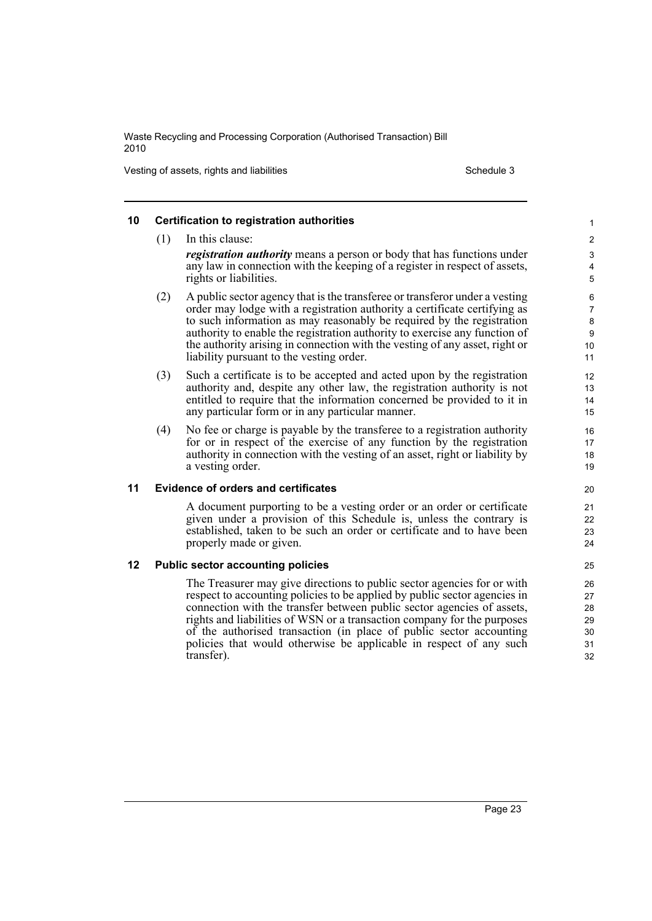Vesting of assets, rights and liabilities Schedule 3 and 120 and 120 and 130 and 130 and 130 and 130 and 130 and 130 and 130 and 130 and 130 and 130 and 130 and 130 and 130 and 130 and 130 and 130 and 130 and 130 and 130 a

transfer).

### **10 Certification to registration authorities** (1) In this clause: *registration authority* means a person or body that has functions under any law in connection with the keeping of a register in respect of assets, rights or liabilities. (2) A public sector agency that is the transferee or transferor under a vesting order may lodge with a registration authority a certificate certifying as to such information as may reasonably be required by the registration authority to enable the registration authority to exercise any function of the authority arising in connection with the vesting of any asset, right or liability pursuant to the vesting order. (3) Such a certificate is to be accepted and acted upon by the registration authority and, despite any other law, the registration authority is not entitled to require that the information concerned be provided to it in any particular form or in any particular manner. (4) No fee or charge is payable by the transferee to a registration authority for or in respect of the exercise of any function by the registration authority in connection with the vesting of an asset, right or liability by a vesting order. **11 Evidence of orders and certificates** A document purporting to be a vesting order or an order or certificate given under a provision of this Schedule is, unless the contrary is established, taken to be such an order or certificate and to have been properly made or given. **12 Public sector accounting policies** The Treasurer may give directions to public sector agencies for or with respect to accounting policies to be applied by public sector agencies in connection with the transfer between public sector agencies of assets, rights and liabilities of WSN or a transaction company for the purposes of the authorised transaction (in place of public sector accounting policies that would otherwise be applicable in respect of any such 1 2 3 4 5 6 7 8 9  $10$ 11 12 13 14 15 16 17 18 19 20 21 22 23 24 25 26 27 28 29 30 31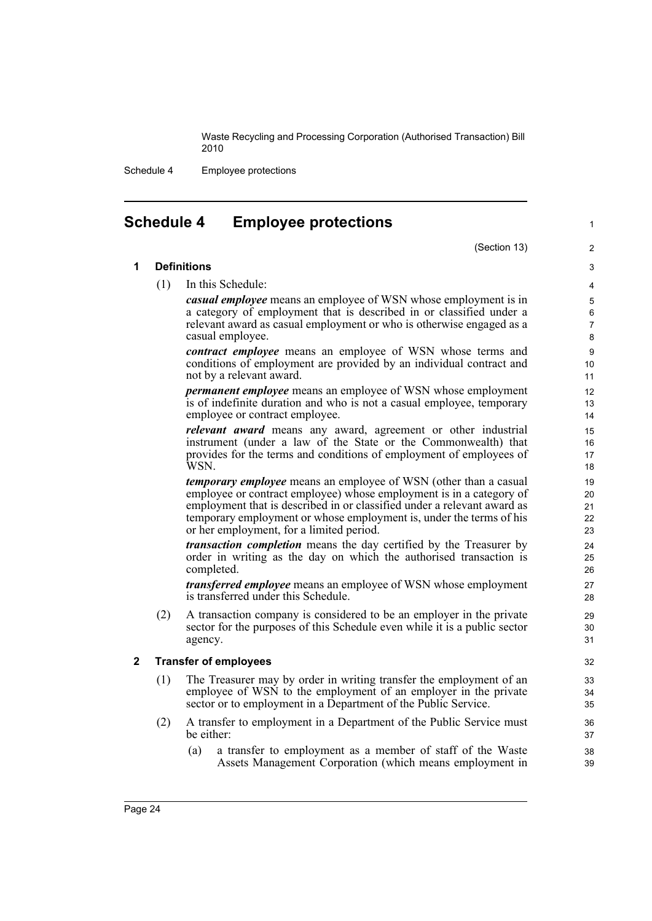Schedule 4 Employee protections

## <span id="page-31-0"></span>**Schedule 4 Employee protections**

### (Section 13)

1

### **1 Definitions**

(1) In this Schedule:

*casual employee* means an employee of WSN whose employment is in a category of employment that is described in or classified under a relevant award as casual employment or who is otherwise engaged as a casual employee.

*contract employee* means an employee of WSN whose terms and conditions of employment are provided by an individual contract and not by a relevant award.

*permanent employee* means an employee of WSN whose employment is of indefinite duration and who is not a casual employee, temporary employee or contract employee.

*relevant award* means any award, agreement or other industrial instrument (under a law of the State or the Commonwealth) that provides for the terms and conditions of employment of employees of WSN.

*temporary employee* means an employee of WSN (other than a casual employee or contract employee) whose employment is in a category of employment that is described in or classified under a relevant award as temporary employment or whose employment is, under the terms of his or her employment, for a limited period.

*transaction completion* means the day certified by the Treasurer by order in writing as the day on which the authorised transaction is completed.

*transferred employee* means an employee of WSN whose employment is transferred under this Schedule.

(2) A transaction company is considered to be an employer in the private sector for the purposes of this Schedule even while it is a public sector agency.

### **2 Transfer of employees**

- (1) The Treasurer may by order in writing transfer the employment of an employee of WSN to the employment of an employer in the private sector or to employment in a Department of the Public Service.
- (2) A transfer to employment in a Department of the Public Service must be either:
	- (a) a transfer to employment as a member of staff of the Waste Assets Management Corporation (which means employment in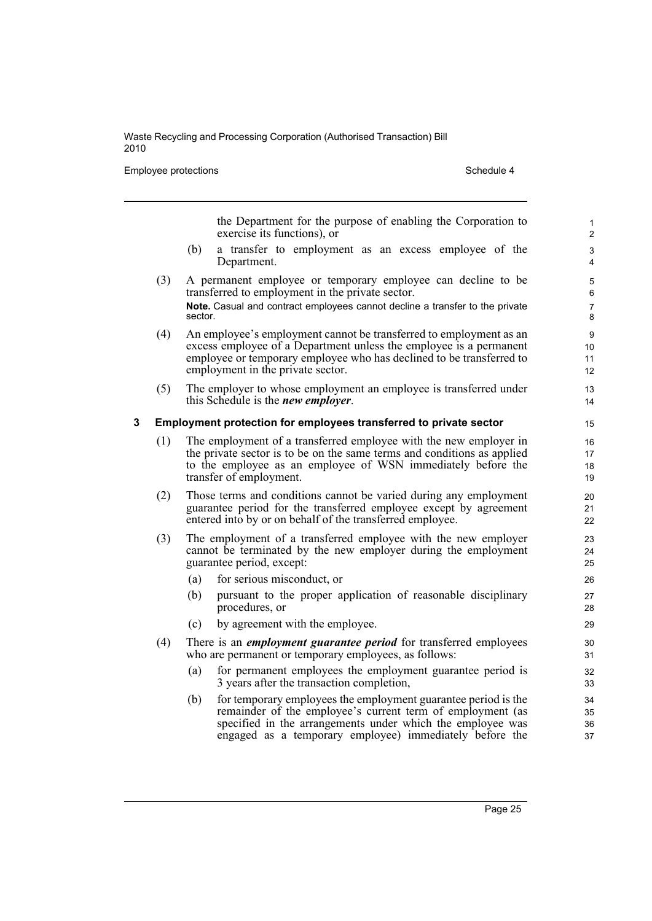Employee protections and the set of the Schedule 4 Schedule 4

|   |     | the Department for the purpose of enabling the Corporation to<br>exercise its functions), or                                                                                                                                                                 | 1<br>$\overline{c}$                |
|---|-----|--------------------------------------------------------------------------------------------------------------------------------------------------------------------------------------------------------------------------------------------------------------|------------------------------------|
|   |     | (b)<br>a transfer to employment as an excess employee of the<br>Department.                                                                                                                                                                                  | 3<br>4                             |
|   | (3) | A permanent employee or temporary employee can decline to be<br>transferred to employment in the private sector.<br>Note. Casual and contract employees cannot decline a transfer to the private                                                             | 5<br>6<br>$\overline{7}$           |
|   |     | sector.                                                                                                                                                                                                                                                      | $\bf 8$                            |
|   | (4) | An employee's employment cannot be transferred to employment as an<br>excess employee of a Department unless the employee is a permanent<br>employee or temporary employee who has declined to be transferred to<br>employment in the private sector.        | $\boldsymbol{9}$<br>10<br>11<br>12 |
|   | (5) | The employer to whose employment an employee is transferred under<br>this Schedule is the <i>new employer</i> .                                                                                                                                              | 13<br>14                           |
| 3 |     | Employment protection for employees transferred to private sector                                                                                                                                                                                            | 15                                 |
|   | (1) | The employment of a transferred employee with the new employer in<br>the private sector is to be on the same terms and conditions as applied<br>to the employee as an employee of WSN immediately before the<br>transfer of employment.                      | 16<br>17<br>18<br>19               |
|   | (2) | Those terms and conditions cannot be varied during any employment<br>guarantee period for the transferred employee except by agreement<br>entered into by or on behalf of the transferred employee.                                                          | 20<br>21<br>22                     |
|   | (3) | The employment of a transferred employee with the new employer<br>cannot be terminated by the new employer during the employment<br>guarantee period, except:                                                                                                | 23<br>24<br>25                     |
|   |     | for serious misconduct, or<br>(a)                                                                                                                                                                                                                            | 26                                 |
|   |     | (b)<br>pursuant to the proper application of reasonable disciplinary<br>procedures, or                                                                                                                                                                       | 27<br>28                           |
|   |     | by agreement with the employee.<br>(c)                                                                                                                                                                                                                       | 29                                 |
|   | (4) | There is an <i>employment guarantee period</i> for transferred employees<br>who are permanent or temporary employees, as follows:                                                                                                                            | 30<br>31                           |
|   |     | for permanent employees the employment guarantee period is<br>(a)<br>3 years after the transaction completion,                                                                                                                                               | 32<br>33                           |
|   |     | for temporary employees the employment guarantee period is the<br>(b)<br>remainder of the employee's current term of employment (as<br>specified in the arrangements under which the employee was<br>engaged as a temporary employee) immediately before the | 34<br>35<br>36<br>37               |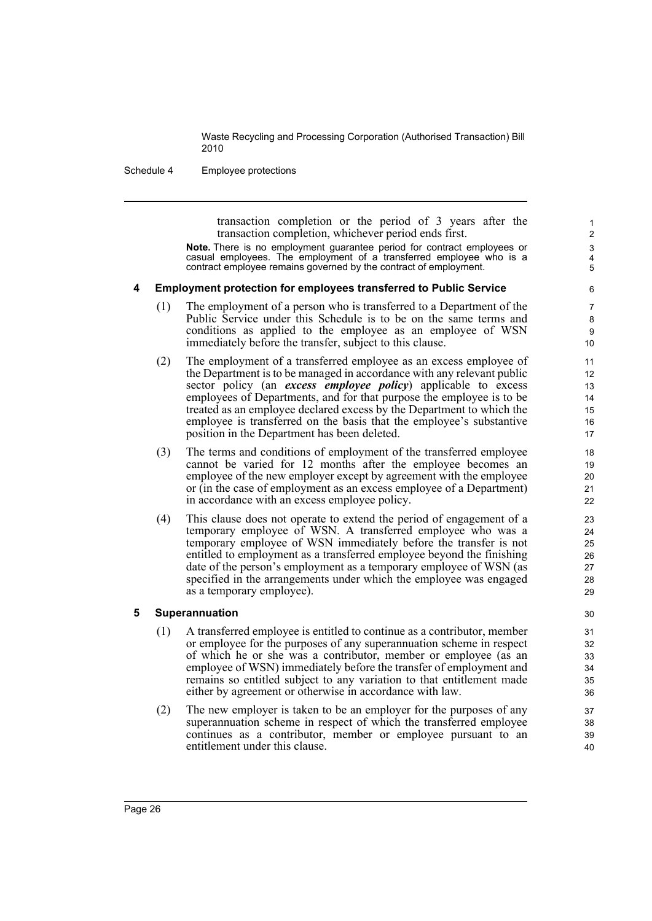Schedule 4 Employee protections

transaction completion or the period of 3 years after the transaction completion, whichever period ends first.

**Note.** There is no employment guarantee period for contract employees or casual employees. The employment of a transferred employee who is a contract employee remains governed by the contract of employment.

### **4 Employment protection for employees transferred to Public Service**

- (1) The employment of a person who is transferred to a Department of the Public Service under this Schedule is to be on the same terms and conditions as applied to the employee as an employee of WSN immediately before the transfer, subject to this clause.
- (2) The employment of a transferred employee as an excess employee of the Department is to be managed in accordance with any relevant public sector policy (an *excess employee policy*) applicable to excess employees of Departments, and for that purpose the employee is to be treated as an employee declared excess by the Department to which the employee is transferred on the basis that the employee's substantive position in the Department has been deleted.
- (3) The terms and conditions of employment of the transferred employee cannot be varied for 12 months after the employee becomes an employee of the new employer except by agreement with the employee or (in the case of employment as an excess employee of a Department) in accordance with an excess employee policy.
- (4) This clause does not operate to extend the period of engagement of a temporary employee of WSN. A transferred employee who was a temporary employee of WSN immediately before the transfer is not entitled to employment as a transferred employee beyond the finishing date of the person's employment as a temporary employee of WSN (as specified in the arrangements under which the employee was engaged as a temporary employee).

### **5 Superannuation**

- (1) A transferred employee is entitled to continue as a contributor, member or employee for the purposes of any superannuation scheme in respect of which he or she was a contributor, member or employee (as an employee of WSN) immediately before the transfer of employment and remains so entitled subject to any variation to that entitlement made either by agreement or otherwise in accordance with law.
- (2) The new employer is taken to be an employer for the purposes of any superannuation scheme in respect of which the transferred employee continues as a contributor, member or employee pursuant to an entitlement under this clause.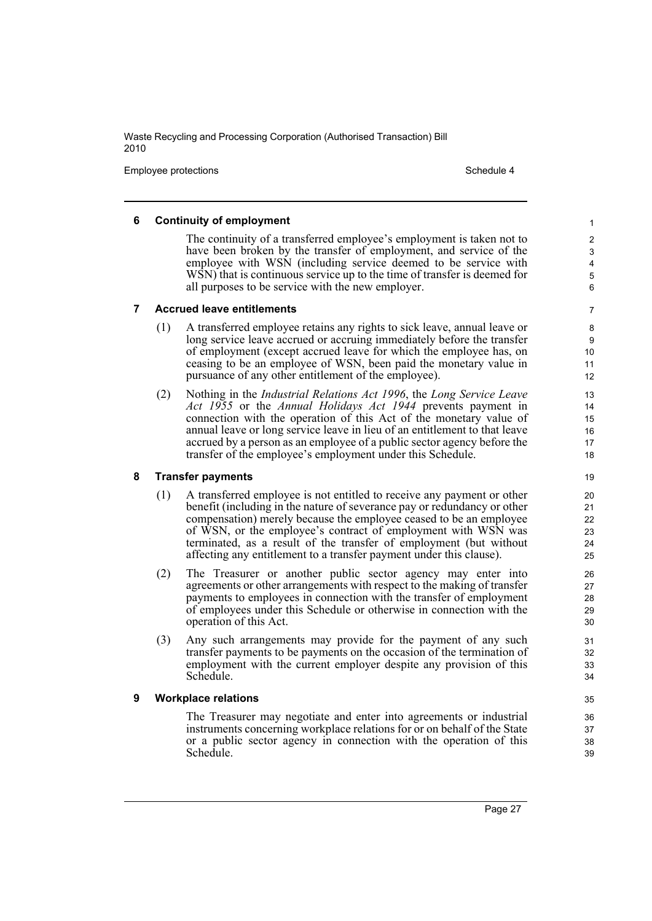Employee protections and the state of the state of the Schedule 4 and the Schedule 4

### **6 Continuity of employment**

The continuity of a transferred employee's employment is taken not to have been broken by the transfer of employment, and service of the employee with WSN (including service deemed to be service with WSN) that is continuous service up to the time of transfer is deemed for all purposes to be service with the new employer.

6 7

### **7 Accrued leave entitlements**

- (1) A transferred employee retains any rights to sick leave, annual leave or long service leave accrued or accruing immediately before the transfer of employment (except accrued leave for which the employee has, on ceasing to be an employee of WSN, been paid the monetary value in pursuance of any other entitlement of the employee).
- (2) Nothing in the *Industrial Relations Act 1996*, the *Long Service Leave Act 1955* or the *Annual Holidays Act 1944* prevents payment in connection with the operation of this Act of the monetary value of annual leave or long service leave in lieu of an entitlement to that leave accrued by a person as an employee of a public sector agency before the transfer of the employee's employment under this Schedule.

### **8 Transfer payments**

- (1) A transferred employee is not entitled to receive any payment or other benefit (including in the nature of severance pay or redundancy or other compensation) merely because the employee ceased to be an employee of WSN, or the employee's contract of employment with WSN was terminated, as a result of the transfer of employment (but without affecting any entitlement to a transfer payment under this clause).
- (2) The Treasurer or another public sector agency may enter into agreements or other arrangements with respect to the making of transfer payments to employees in connection with the transfer of employment of employees under this Schedule or otherwise in connection with the operation of this Act.
- (3) Any such arrangements may provide for the payment of any such transfer payments to be payments on the occasion of the termination of employment with the current employer despite any provision of this Schedule.

### **9 Workplace relations**

The Treasurer may negotiate and enter into agreements or industrial instruments concerning workplace relations for or on behalf of the State or a public sector agency in connection with the operation of this Schedule.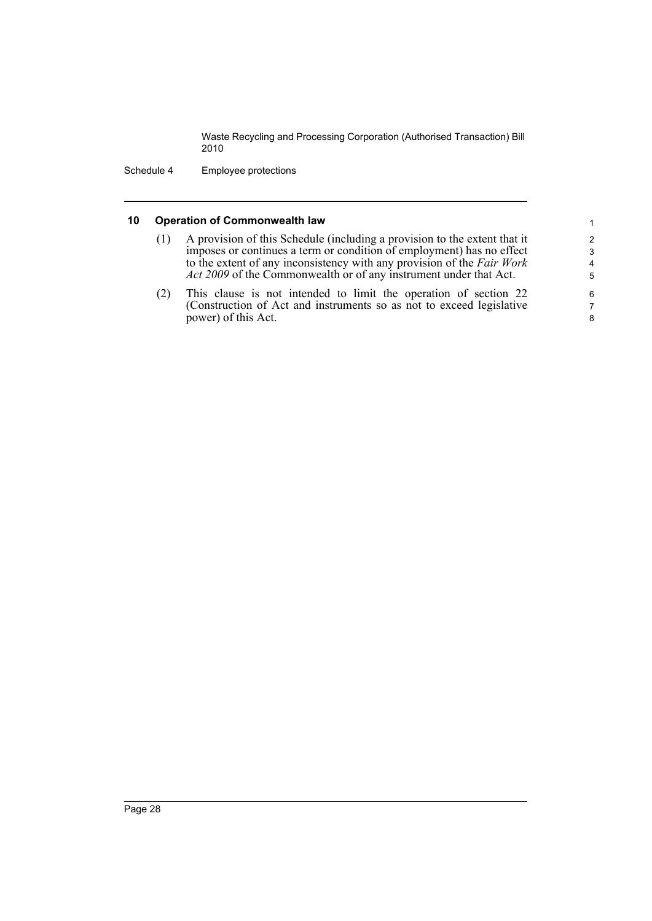Schedule 4 Employee protections

### **10 Operation of Commonwealth law**

- (1) A provision of this Schedule (including a provision to the extent that it imposes or continues a term or condition of employment) has no effect to the extent of any inconsistency with any provision of the *Fair Work Act 2009* of the Commonwealth or of any instrument under that Act.
- (2) This clause is not intended to limit the operation of section 22 (Construction of Act and instruments so as not to exceed legislative power) of this Act.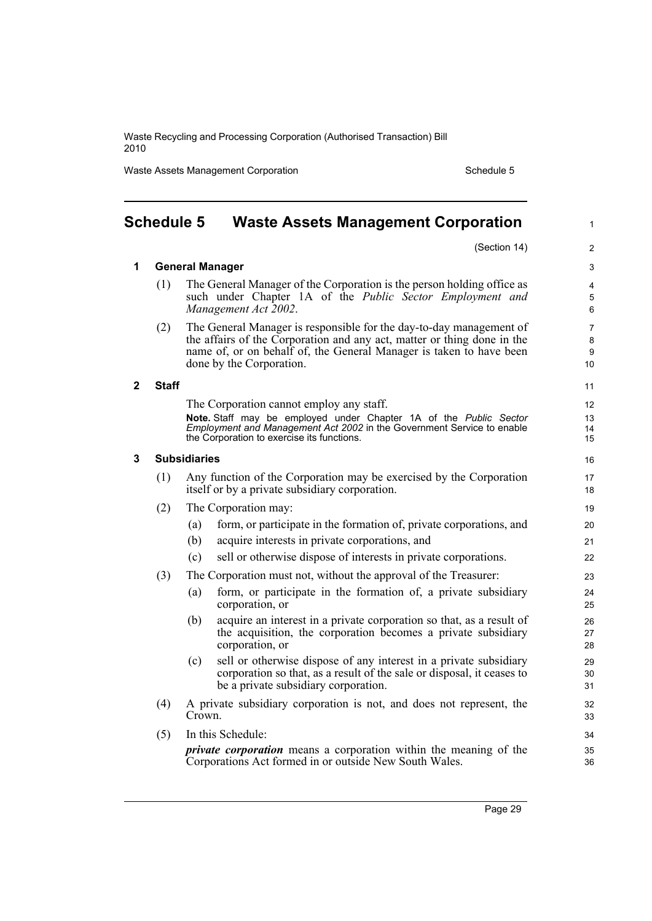Waste Assets Management Corporation Schedule 5

<span id="page-36-0"></span>

|   | <b>Schedule 5</b> | <b>Waste Assets Management Corporation</b>                                                                                                                                                                                                        | $\mathbf{1}$                   |
|---|-------------------|---------------------------------------------------------------------------------------------------------------------------------------------------------------------------------------------------------------------------------------------------|--------------------------------|
|   |                   | (Section 14)                                                                                                                                                                                                                                      | $\overline{2}$                 |
| 1 |                   | <b>General Manager</b>                                                                                                                                                                                                                            | 3                              |
|   | (1)               | The General Manager of the Corporation is the person holding office as<br>such under Chapter 1A of the <i>Public Sector Employment and</i><br>Management Act 2002.                                                                                | 4<br>5<br>6                    |
|   | (2)               | The General Manager is responsible for the day-to-day management of<br>the affairs of the Corporation and any act, matter or thing done in the<br>name of, or on behalf of, the General Manager is taken to have been<br>done by the Corporation. | $\overline{7}$<br>8<br>9<br>10 |
| 2 | <b>Staff</b>      |                                                                                                                                                                                                                                                   | 11                             |
|   |                   | The Corporation cannot employ any staff.<br>Note. Staff may be employed under Chapter 1A of the Public Sector<br>Employment and Management Act 2002 in the Government Service to enable<br>the Corporation to exercise its functions.             | 12<br>13<br>14<br>15           |
| 3 |                   | <b>Subsidiaries</b>                                                                                                                                                                                                                               | 16                             |
|   | (1)               | Any function of the Corporation may be exercised by the Corporation<br>itself or by a private subsidiary corporation.                                                                                                                             | 17<br>18                       |
|   | (2)               | The Corporation may:                                                                                                                                                                                                                              | 19                             |
|   |                   | form, or participate in the formation of, private corporations, and<br>(a)                                                                                                                                                                        | 20                             |
|   |                   | (b)<br>acquire interests in private corporations, and                                                                                                                                                                                             | 21                             |
|   |                   | sell or otherwise dispose of interests in private corporations.<br>(c)                                                                                                                                                                            | 22                             |
|   | (3)               | The Corporation must not, without the approval of the Treasurer:                                                                                                                                                                                  | 23                             |
|   |                   | form, or participate in the formation of, a private subsidiary<br>(a)<br>corporation, or                                                                                                                                                          | 24<br>25                       |
|   |                   | (b)<br>acquire an interest in a private corporation so that, as a result of<br>the acquisition, the corporation becomes a private subsidiary<br>corporation, or                                                                                   | 26<br>27<br>28                 |
|   |                   | sell or otherwise dispose of any interest in a private subsidiary<br>(c)<br>corporation so that, as a result of the sale or disposal, it ceases to<br>be a private subsidiary corporation.                                                        | 29<br>30<br>31                 |
|   | (4)               | A private subsidiary corporation is not, and does not represent, the<br>Crown.                                                                                                                                                                    | 32<br>33                       |
|   | (5)               | In this Schedule:                                                                                                                                                                                                                                 | 34                             |
|   |                   | <i>private corporation</i> means a corporation within the meaning of the<br>Corporations Act formed in or outside New South Wales.                                                                                                                | 35<br>36                       |

Corporations Act formed in or outside New South Wales.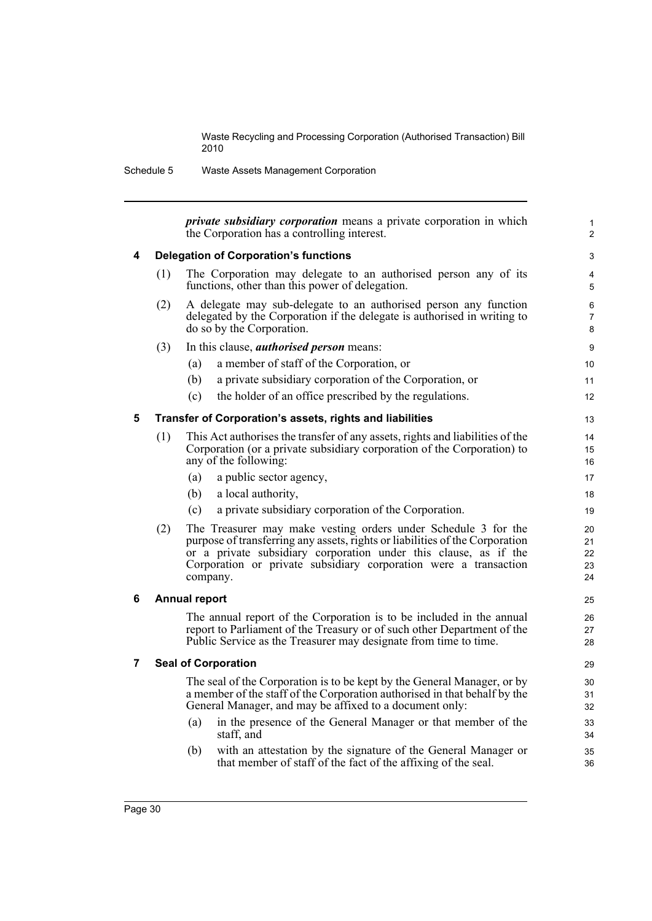Schedule 5 Waste Assets Management Corporation

|   |     | <i>private subsidiary corporation</i> means a private corporation in which<br>the Corporation has a controlling interest.                                                                                                                                                                          | 1<br>$\overline{2}$        |
|---|-----|----------------------------------------------------------------------------------------------------------------------------------------------------------------------------------------------------------------------------------------------------------------------------------------------------|----------------------------|
| 4 |     | <b>Delegation of Corporation's functions</b>                                                                                                                                                                                                                                                       | 3                          |
|   | (1) | The Corporation may delegate to an authorised person any of its<br>functions, other than this power of delegation.                                                                                                                                                                                 | 4<br>5                     |
|   | (2) | A delegate may sub-delegate to an authorised person any function<br>delegated by the Corporation if the delegate is authorised in writing to<br>do so by the Corporation.                                                                                                                          | 6<br>7<br>8                |
|   | (3) | In this clause, <i>authorised person</i> means:                                                                                                                                                                                                                                                    | 9                          |
|   |     | a member of staff of the Corporation, or<br>(a)                                                                                                                                                                                                                                                    | 10                         |
|   |     | a private subsidiary corporation of the Corporation, or<br>(b)                                                                                                                                                                                                                                     | 11                         |
|   |     | the holder of an office prescribed by the regulations.<br>(c)                                                                                                                                                                                                                                      | 12                         |
| 5 |     | Transfer of Corporation's assets, rights and liabilities                                                                                                                                                                                                                                           | 13                         |
|   | (1) | This Act authorises the transfer of any assets, rights and liabilities of the<br>Corporation (or a private subsidiary corporation of the Corporation) to<br>any of the following:                                                                                                                  | 14<br>15<br>16             |
|   |     | a public sector agency,<br>(a)                                                                                                                                                                                                                                                                     | 17                         |
|   |     | (b)<br>a local authority,                                                                                                                                                                                                                                                                          | 18                         |
|   |     | a private subsidiary corporation of the Corporation.<br>(c)                                                                                                                                                                                                                                        | 19                         |
|   | (2) | The Treasurer may make vesting orders under Schedule 3 for the<br>purpose of transferring any assets, rights or liabilities of the Corporation<br>or a private subsidiary corporation under this clause, as if the<br>Corporation or private subsidiary corporation were a transaction<br>company. | 20<br>21<br>22<br>23<br>24 |
| 6 |     | <b>Annual report</b>                                                                                                                                                                                                                                                                               | 25                         |
|   |     | The annual report of the Corporation is to be included in the annual<br>report to Parliament of the Treasury or of such other Department of the<br>Public Service as the Treasurer may designate from time to time.                                                                                | 26<br>27<br>28             |
| 7 |     | <b>Seal of Corporation</b>                                                                                                                                                                                                                                                                         | 29                         |
|   |     | The seal of the Corporation is to be kept by the General Manager, or by<br>a member of the staff of the Corporation authorised in that behalf by the<br>General Manager, and may be affixed to a document only:<br>in the presence of the General Manager or that member of the<br>(a)             | 30<br>31<br>32<br>33       |
|   |     | staff, and                                                                                                                                                                                                                                                                                         | 34                         |
|   |     | with an attestation by the signature of the General Manager or<br>(b)<br>that member of staff of the fact of the affixing of the seal.                                                                                                                                                             | 35<br>36                   |
|   |     |                                                                                                                                                                                                                                                                                                    |                            |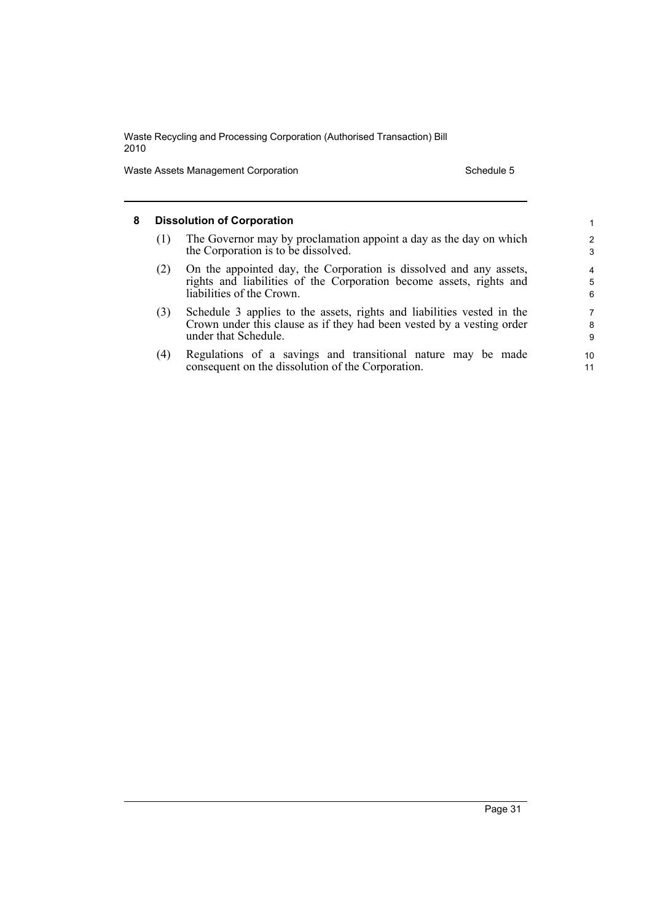Waste Assets Management Corporation Schedule 5

### **8 Dissolution of Corporation** (1) The Governor may by proclamation appoint a day as the day on which the Corporation is to be dissolved. (2) On the appointed day, the Corporation is dissolved and any assets, rights and liabilities of the Corporation become assets, rights and liabilities of the Crown. (3) Schedule 3 applies to the assets, rights and liabilities vested in the Crown under this clause as if they had been vested by a vesting order under that Schedule. (4) Regulations of a savings and transitional nature may be made consequent on the dissolution of the Corporation. 1 2 3 4 5 6 7 8 9 10 11